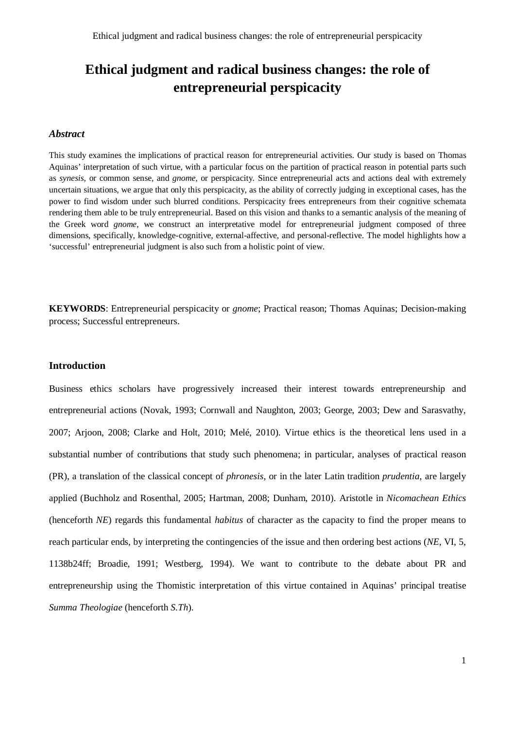# **Ethical judgment and radical business changes: the role of entrepreneurial perspicacity**

## *Abstract*

This study examines the implications of practical reason for entrepreneurial activities. Our study is based on Thomas Aquinas' interpretation of such virtue, with a particular focus on the partition of practical reason in potential parts such as *synesis*, or common sense, and *gnome*, or perspicacity*.* Since entrepreneurial acts and actions deal with extremely uncertain situations, we argue that only this perspicacity, as the ability of correctly judging in exceptional cases, has the power to find wisdom under such blurred conditions. Perspicacity frees entrepreneurs from their cognitive schemata rendering them able to be truly entrepreneurial. Based on this vision and thanks to a semantic analysis of the meaning of the Greek word *gnome*, we construct an interpretative model for entrepreneurial judgment composed of three dimensions, specifically, knowledge-cognitive, external-affective, and personal-reflective. The model highlights how a 'successful' entrepreneurial judgment is also such from a holistic point of view.

**KEYWORDS**: Entrepreneurial perspicacity or *gnome*; Practical reason; Thomas Aquinas; Decision-making process; Successful entrepreneurs.

## **Introduction**

Business ethics scholars have progressively increased their interest towards entrepreneurship and entrepreneurial actions (Novak, 1993; Cornwall and Naughton, 2003; George, 2003; Dew and Sarasvathy, 2007; Arjoon, 2008; Clarke and Holt, 2010; Melé, 2010). Virtue ethics is the theoretical lens used in a substantial number of contributions that study such phenomena; in particular, analyses of practical reason (PR), a translation of the classical concept of *phronesis*, or in the later Latin tradition *prudentia*, are largely applied (Buchholz and Rosenthal, 2005; Hartman, 2008; Dunham, 2010). Aristotle in *Nicomachean Ethics* (henceforth *NE*) regards this fundamental *habitus* of character as the capacity to find the proper means to reach particular ends, by interpreting the contingencies of the issue and then ordering best actions (*NE*, VI, 5, 1138b24ff; Broadie, 1991; Westberg, 1994). We want to contribute to the debate about PR and entrepreneurship using the Thomistic interpretation of this virtue contained in Aquinas' principal treatise *Summa Theologiae* (henceforth *S.Th*).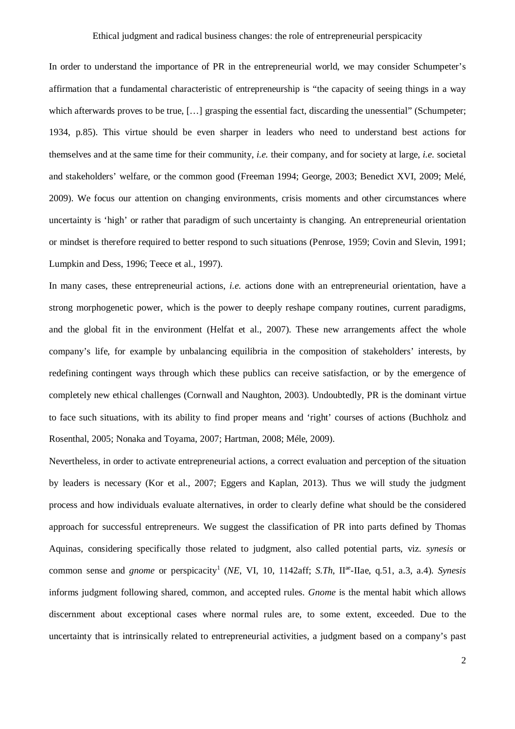In order to understand the importance of PR in the entrepreneurial world, we may consider Schumpeter's affirmation that a fundamental characteristic of entrepreneurship is "the capacity of seeing things in a way which afterwards proves to be true, [...] grasping the essential fact, discarding the unessential" (Schumpeter; 1934, p.85). This virtue should be even sharper in leaders who need to understand best actions for themselves and at the same time for their community, *i.e.* their company, and for society at large, *i.e.* societal and stakeholders' welfare, or the common good (Freeman 1994; George, 2003; Benedict XVI, 2009; Melé, 2009). We focus our attention on changing environments, crisis moments and other circumstances where uncertainty is 'high' or rather that paradigm of such uncertainty is changing. An entrepreneurial orientation or mindset is therefore required to better respond to such situations (Penrose, 1959; Covin and Slevin, 1991; Lumpkin and Dess, 1996; Teece et al., 1997).

In many cases, these entrepreneurial actions, *i.e.* actions done with an entrepreneurial orientation, have a strong morphogenetic power, which is the power to deeply reshape company routines, current paradigms, and the global fit in the environment (Helfat et al., 2007). These new arrangements affect the whole company's life, for example by unbalancing equilibria in the composition of stakeholders' interests, by redefining contingent ways through which these publics can receive satisfaction, or by the emergence of completely new ethical challenges (Cornwall and Naughton, 2003). Undoubtedly, PR is the dominant virtue to face such situations, with its ability to find proper means and 'right' courses of actions (Buchholz and Rosenthal, 2005; Nonaka and Toyama, 2007; Hartman, 2008; Méle, 2009).

Nevertheless, in order to activate entrepreneurial actions, a correct evaluation and perception of the situation by leaders is necessary (Kor et al., 2007; Eggers and Kaplan, 2013). Thus we will study the judgment process and how individuals evaluate alternatives, in order to clearly define what should be the considered approach for successful entrepreneurs. We suggest the classification of PR into parts defined by Thomas Aquinas, considering specifically those related to judgment, also called potential parts, viz. *synesis* or common sense and *gnome* or perspicacity<sup>1</sup> (*NE*, VI, 10, 1142aff; *S.Th*, II<sup>ae</sup>-IIae, q.51, a.3, a.4). *Synesis* informs judgment following shared, common, and accepted rules. *Gnome* is the mental habit which allows discernment about exceptional cases where normal rules are, to some extent, exceeded. Due to the uncertainty that is intrinsically related to entrepreneurial activities, a judgment based on a company's past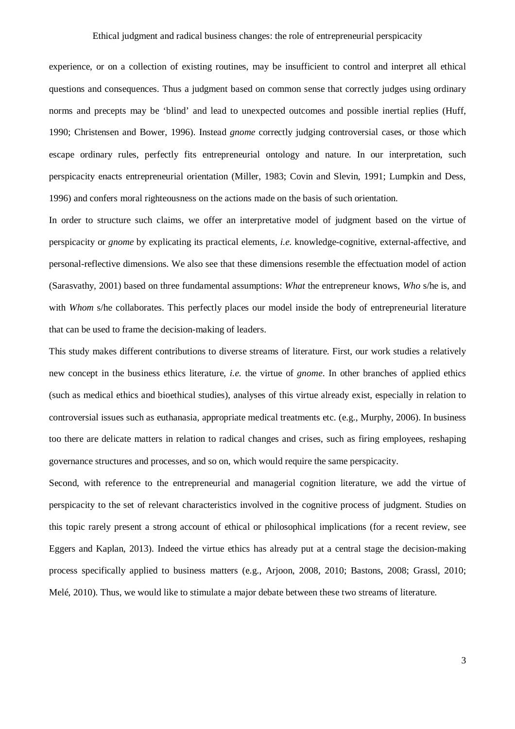experience, or on a collection of existing routines, may be insufficient to control and interpret all ethical questions and consequences. Thus a judgment based on common sense that correctly judges using ordinary norms and precepts may be 'blind' and lead to unexpected outcomes and possible inertial replies (Huff, 1990; Christensen and Bower, 1996). Instead *gnome* correctly judging controversial cases, or those which escape ordinary rules, perfectly fits entrepreneurial ontology and nature. In our interpretation, such perspicacity enacts entrepreneurial orientation (Miller, 1983; Covin and Slevin, 1991; Lumpkin and Dess, 1996) and confers moral righteousness on the actions made on the basis of such orientation.

In order to structure such claims, we offer an interpretative model of judgment based on the virtue of perspicacity or *gnome* by explicating its practical elements, *i.e.* knowledge-cognitive, external-affective, and personal-reflective dimensions. We also see that these dimensions resemble the effectuation model of action (Sarasvathy, 2001) based on three fundamental assumptions: *What* the entrepreneur knows, *Who* s/he is, and with *Whom* s/he collaborates. This perfectly places our model inside the body of entrepreneurial literature that can be used to frame the decision-making of leaders.

This study makes different contributions to diverse streams of literature. First, our work studies a relatively new concept in the business ethics literature, *i.e.* the virtue of *gnome*. In other branches of applied ethics (such as medical ethics and bioethical studies), analyses of this virtue already exist, especially in relation to controversial issues such as euthanasia, appropriate medical treatments etc. (e.g., Murphy, 2006). In business too there are delicate matters in relation to radical changes and crises, such as firing employees, reshaping governance structures and processes, and so on, which would require the same perspicacity.

Second, with reference to the entrepreneurial and managerial cognition literature, we add the virtue of perspicacity to the set of relevant characteristics involved in the cognitive process of judgment. Studies on this topic rarely present a strong account of ethical or philosophical implications (for a recent review, see Eggers and Kaplan, 2013). Indeed the virtue ethics has already put at a central stage the decision-making process specifically applied to business matters (e.g., Arjoon, 2008, 2010; Bastons, 2008; Grassl, 2010; Melé, 2010). Thus, we would like to stimulate a major debate between these two streams of literature.

3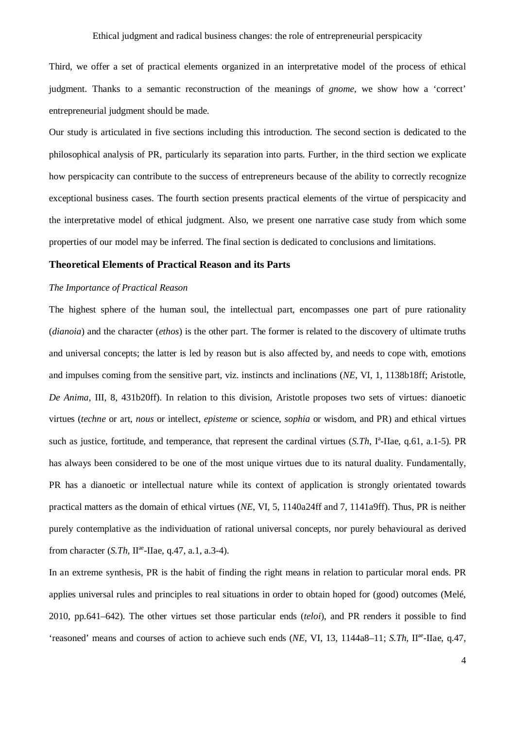Third, we offer a set of practical elements organized in an interpretative model of the process of ethical judgment. Thanks to a semantic reconstruction of the meanings of *gnome*, we show how a 'correct' entrepreneurial judgment should be made.

Our study is articulated in five sections including this introduction. The second section is dedicated to the philosophical analysis of PR, particularly its separation into parts. Further, in the third section we explicate how perspicacity can contribute to the success of entrepreneurs because of the ability to correctly recognize exceptional business cases. The fourth section presents practical elements of the virtue of perspicacity and the interpretative model of ethical judgment. Also, we present one narrative case study from which some properties of our model may be inferred. The final section is dedicated to conclusions and limitations.

## **Theoretical Elements of Practical Reason and its Parts**

## *The Importance of Practical Reason*

The highest sphere of the human soul, the intellectual part, encompasses one part of pure rationality (*dianoia*) and the character (*ethos*) is the other part. The former is related to the discovery of ultimate truths and universal concepts; the latter is led by reason but is also affected by, and needs to cope with, emotions and impulses coming from the sensitive part, viz. instincts and inclinations (*NE*, VI, 1, 1138b18ff; Aristotle, *De Anima*, III, 8, 431b20ff). In relation to this division, Aristotle proposes two sets of virtues: dianoetic virtues (*techne* or art, *nous* or intellect, *episteme* or science, *sophia* or wisdom, and PR) and ethical virtues such as justice, fortitude, and temperance, that represent the cardinal virtues (*S.Th*, I<sup>a</sup>-IIae, q.61, a.1-5). PR has always been considered to be one of the most unique virtues due to its natural duality. Fundamentally, PR has a dianoetic or intellectual nature while its context of application is strongly orientated towards practical matters as the domain of ethical virtues (*NE*, VI, 5, 1140a24ff and 7, 1141a9ff). Thus, PR is neither purely contemplative as the individuation of rational universal concepts, nor purely behavioural as derived from character (*S.Th*, II<sup>ae</sup>-IIae, q.47, a.1, a.3-4).

In an extreme synthesis, PR is the habit of finding the right means in relation to particular moral ends. PR applies universal rules and principles to real situations in order to obtain hoped for (good) outcomes (Melé, 2010, pp.641–642). The other virtues set those particular ends (*teloi*), and PR renders it possible to find 'reasoned' means and courses of action to achieve such ends (*NE*, VI, 13, 1144a8-11; *S.Th*, II<sup>ae</sup>-IIae, q.47,

4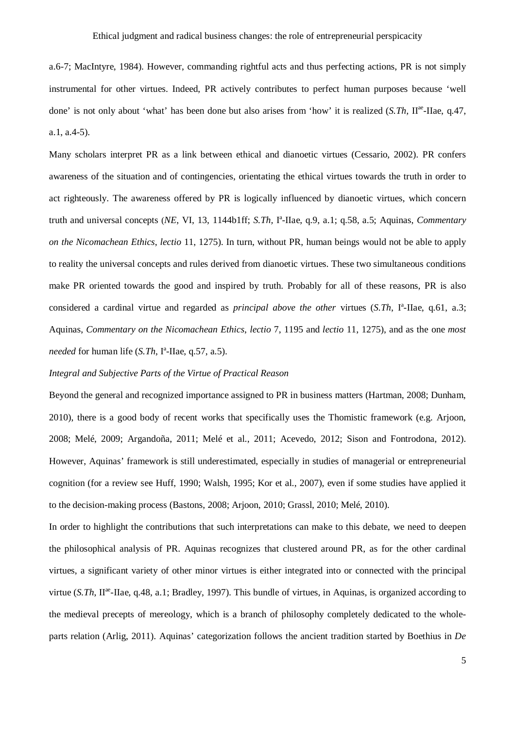a.6-7; MacIntyre, 1984). However, commanding rightful acts and thus perfecting actions, PR is not simply instrumental for other virtues. Indeed, PR actively contributes to perfect human purposes because 'well done' is not only about 'what' has been done but also arises from 'how' it is realized (*S.Th*, II<sup>ae</sup>-IIae, q.47, a.1, a.4-5).

Many scholars interpret PR as a link between ethical and dianoetic virtues (Cessario, 2002). PR confers awareness of the situation and of contingencies, orientating the ethical virtues towards the truth in order to act righteously. The awareness offered by PR is logically influenced by dianoetic virtues, which concern truth and universal concepts (*NE*, VI, 13, 1144b1ff; *S.Th*, I<sup>a</sup>-IIae, q.9, a.1; q.58, a.5; Aquinas, *Commentary on the Nicomachean Ethics*, *lectio* 11, 1275). In turn, without PR, human beings would not be able to apply to reality the universal concepts and rules derived from dianoetic virtues. These two simultaneous conditions make PR oriented towards the good and inspired by truth. Probably for all of these reasons, PR is also considered a cardinal virtue and regarded as *principal above the other* virtues (*S.Th*, I<sup>a</sup>-IIae, q.61, a.3; Aquinas, *Commentary on the Nicomachean Ethics*, *lectio* 7, 1195 and *lectio* 11, 1275), and as the one *most needed* for human life (*S.Th*, I<sup>a</sup>-IIae, q.57, a.5).

## *Integral and Subjective Parts of the Virtue of Practical Reason*

Beyond the general and recognized importance assigned to PR in business matters (Hartman, 2008; Dunham, 2010), there is a good body of recent works that specifically uses the Thomistic framework (e.g. Arjoon, 2008; Melé, 2009; Argandoña, 2011; Melé et al., 2011; Acevedo, 2012; Sison and Fontrodona, 2012). However, Aquinas' framework is still underestimated, especially in studies of managerial or entrepreneurial cognition (for a review see Huff, 1990; Walsh, 1995; Kor et al., 2007), even if some studies have applied it to the decision-making process (Bastons, 2008; Arjoon, 2010; Grassl, 2010; Melé, 2010).

In order to highlight the contributions that such interpretations can make to this debate, we need to deepen the philosophical analysis of PR. Aquinas recognizes that clustered around PR, as for the other cardinal virtues, a significant variety of other minor virtues is either integrated into or connected with the principal virtue (S.Th, II<sup>ae</sup>-IIae, q.48, a.1; Bradley, 1997). This bundle of virtues, in Aquinas, is organized according to the medieval precepts of mereology, which is a branch of philosophy completely dedicated to the wholeparts relation (Arlig, 2011). Aquinas' categorization follows the ancient tradition started by Boethius in *De*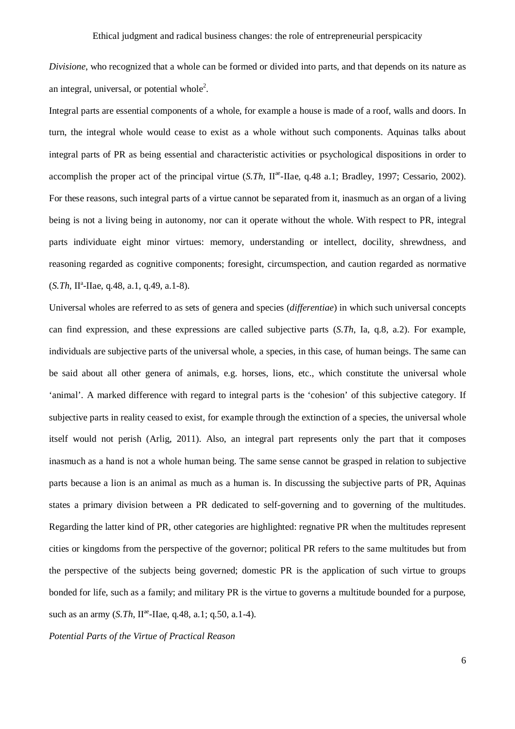*Divisione*, who recognized that a whole can be formed or divided into parts, and that depends on its nature as an integral, universal, or potential whole<sup>2</sup>.

Integral parts are essential components of a whole, for example a house is made of a roof, walls and doors. In turn, the integral whole would cease to exist as a whole without such components. Aquinas talks about integral parts of PR as being essential and characteristic activities or psychological dispositions in order to accomplish the proper act of the principal virtue (*S.Th*, II<sup>ae</sup>-IIae, q.48 a.1; Bradley, 1997; Cessario, 2002). For these reasons, such integral parts of a virtue cannot be separated from it, inasmuch as an organ of a living being is not a living being in autonomy, nor can it operate without the whole. With respect to PR, integral parts individuate eight minor virtues: memory, understanding or intellect, docility, shrewdness, and reasoning regarded as cognitive components; foresight, circumspection, and caution regarded as normative (*S.Th*, II<sup>a</sup>-IIae, q.48, a.1, q.49, a.1-8).

Universal wholes are referred to as sets of genera and species (*differentiae*) in which such universal concepts can find expression, and these expressions are called subjective parts (*S.Th*, Ia, q.8, a.2). For example, individuals are subjective parts of the universal whole, a species, in this case, of human beings. The same can be said about all other genera of animals, e.g. horses, lions, etc., which constitute the universal whole 'animal'. A marked difference with regard to integral parts is the 'cohesion' of this subjective category. If subjective parts in reality ceased to exist, for example through the extinction of a species, the universal whole itself would not perish (Arlig, 2011). Also, an integral part represents only the part that it composes inasmuch as a hand is not a whole human being. The same sense cannot be grasped in relation to subjective parts because a lion is an animal as much as a human is. In discussing the subjective parts of PR, Aquinas states a primary division between a PR dedicated to self-governing and to governing of the multitudes. Regarding the latter kind of PR, other categories are highlighted: regnative PR when the multitudes represent cities or kingdoms from the perspective of the governor; political PR refers to the same multitudes but from the perspective of the subjects being governed; domestic PR is the application of such virtue to groups bonded for life, such as a family; and military PR is the virtue to governs a multitude bounded for a purpose, such as an army (*S.Th*, II<sup>ae</sup>-IIae, q.48, a.1; q.50, a.1-4).

*Potential Parts of the Virtue of Practical Reason*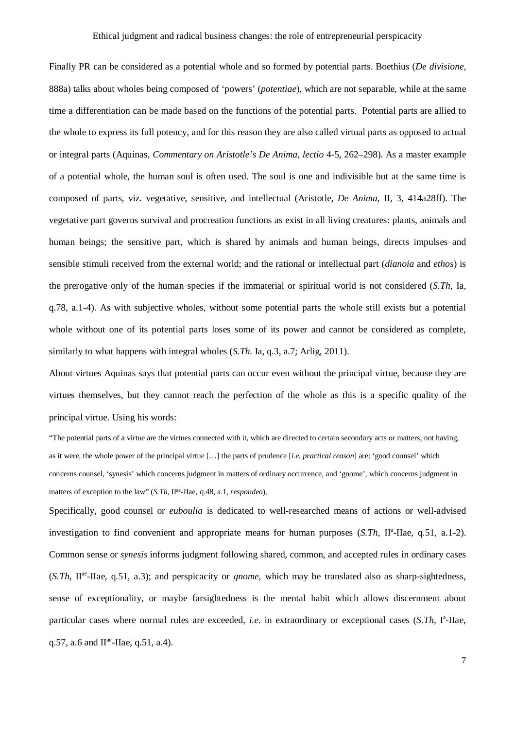Finally PR can be considered as a potential whole and so formed by potential parts. Boethius (*De divisione*, 888a) talks about wholes being composed of 'powers' (*potentiae*), which are not separable, while at the same time a differentiation can be made based on the functions of the potential parts. Potential parts are allied to the whole to express its full potency, and for this reason they are also called virtual parts as opposed to actual or integral parts (Aquinas, *Commentary on Aristotle's De Anima*, *lectio* 4-5, 262–298). As a master example of a potential whole, the human soul is often used. The soul is one and indivisible but at the same time is composed of parts, viz. vegetative, sensitive, and intellectual (Aristotle, *De Anima*, II, 3, 414a28ff). The vegetative part governs survival and procreation functions as exist in all living creatures: plants, animals and human beings; the sensitive part, which is shared by animals and human beings, directs impulses and sensible stimuli received from the external world; and the rational or intellectual part (*dianoia* and *ethos*) is the prerogative only of the human species if the immaterial or spiritual world is not considered (*S.Th*, Ia, q.78, a.1-4). As with subjective wholes, without some potential parts the whole still exists but a potential whole without one of its potential parts loses some of its power and cannot be considered as complete, similarly to what happens with integral wholes (*S.Th. Ia, q.3, a.7; Arlig, 2011*).

About virtues Aquinas says that potential parts can occur even without the principal virtue, because they are virtues themselves, but they cannot reach the perfection of the whole as this is a specific quality of the principal virtue. Using his words:

"The potential parts of a virtue are the virtues connected with it, which are directed to certain secondary acts or matters, not having, as it were, the whole power of the principal virtue […] the parts of prudence [*i.e. practical reason*] are: 'good counsel' which concerns counsel, 'synesis' which concerns judgment in matters of ordinary occurrence, and 'gnome', which concerns judgment in matters of exception to the law" (*S.Th*, II<sup>ae</sup>-IIae, q.48, a.1, *respondeo*).

Specifically, good counsel or *euboulia* is dedicated to well-researched means of actions or well-advised investigation to find convenient and appropriate means for human purposes (*S.Th*, II<sup>a</sup>-IIae, q.51, a.1-2). Common sense or *synesis* informs judgment following shared, common, and accepted rules in ordinary cases (*S.Th*, IIae -IIae, q.51, a.3); and perspicacity or *gnome*, which may be translated also as sharp-sightedness, sense of exceptionality, or maybe farsightedness is the mental habit which allows discernment about particular cases where normal rules are exceeded, *i.e.* in extraordinary or exceptional cases (*S.Th*, I<sup>a</sup>-IIae, q.57, a.6 and  $II^{ae}$ -IIae, q.51, a.4).

7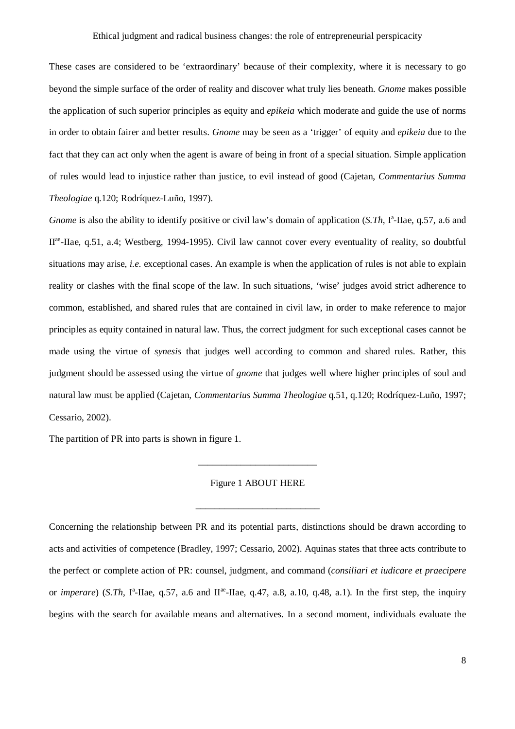These cases are considered to be 'extraordinary' because of their complexity, where it is necessary to go beyond the simple surface of the order of reality and discover what truly lies beneath. *Gnome* makes possible the application of such superior principles as equity and *epikeia* which moderate and guide the use of norms in order to obtain fairer and better results. *Gnome* may be seen as a 'trigger' of equity and *epikeia* due to the fact that they can act only when the agent is aware of being in front of a special situation. Simple application of rules would lead to injustice rather than justice, to evil instead of good (Cajetan, *Commentarius Summa Theologiae* q.120; Rodríquez-Luño, 1997).

Gnome is also the ability to identify positive or civil law's domain of application (*S.Th*, I<sup>a</sup>-IIae, q.57, a.6 and II<sup>ae</sup>-IIae, q.51, a.4; Westberg, 1994-1995). Civil law cannot cover every eventuality of reality, so doubtful situations may arise, *i.e.* exceptional cases. An example is when the application of rules is not able to explain reality or clashes with the final scope of the law. In such situations, 'wise' judges avoid strict adherence to common, established, and shared rules that are contained in civil law, in order to make reference to major principles as equity contained in natural law. Thus, the correct judgment for such exceptional cases cannot be made using the virtue of *synesis* that judges well according to common and shared rules. Rather, this judgment should be assessed using the virtue of *gnome* that judges well where higher principles of soul and natural law must be applied (Cajetan, *Commentarius Summa Theologiae* q.51, q.120; Rodríquez-Luño, 1997; Cessario, 2002).

The partition of PR into parts is shown in figure 1.

Figure 1 ABOUT HERE

\_\_\_\_\_\_\_\_\_\_\_\_\_\_\_\_\_\_\_\_\_\_\_\_\_\_

\_\_\_\_\_\_\_\_\_\_\_\_\_\_\_\_\_\_\_\_\_\_\_\_\_

Concerning the relationship between PR and its potential parts, distinctions should be drawn according to acts and activities of competence (Bradley, 1997; Cessario, 2002). Aquinas states that three acts contribute to the perfect or complete action of PR: counsel, judgment, and command (*consiliari et iudicare et praecipere* or *imperare*) (*S.Th*, I<sup>a</sup>-IIae, q.57, a.6 and II<sup>ae</sup>-IIae, q.47, a.8, a.10, q.48, a.1). In the first step, the inquiry begins with the search for available means and alternatives. In a second moment, individuals evaluate the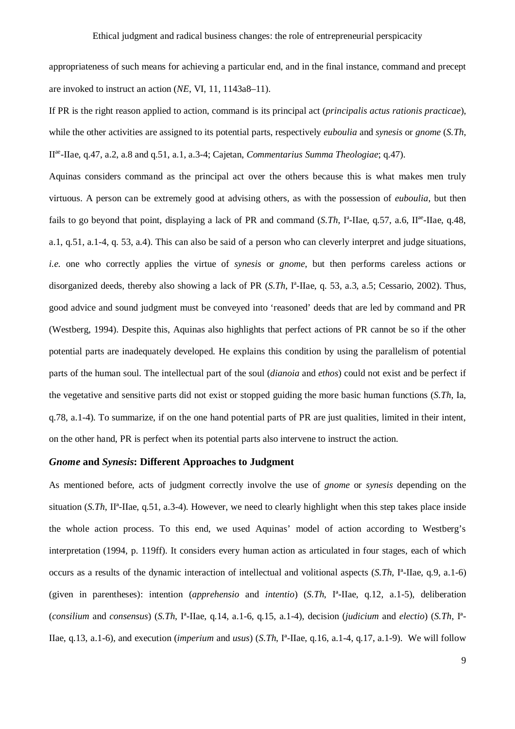appropriateness of such means for achieving a particular end, and in the final instance, command and precept are invoked to instruct an action (*NE*, VI, 11, 1143a8–11).

If PR is the right reason applied to action, command is its principal act (*principalis actus rationis practicae*), while the other activities are assigned to its potential parts, respectively *euboulia* and *synesis* or *gnome* (*S.Th*, IIae -IIae, q.47, a.2, a.8 and q.51, a.1, a.3-4; Cajetan, *Commentarius Summa Theologiae*; q.47).

Aquinas considers command as the principal act over the others because this is what makes men truly virtuous. A person can be extremely good at advising others, as with the possession of *euboulia*, but then fails to go beyond that point, displaying a lack of PR and command (*S.Th*, I<sup>a</sup>-IIae, q.57, a.6, II<sup>ae</sup>-IIae, q.48, a.1, q.51, a.1-4, q. 53, a.4). This can also be said of a person who can cleverly interpret and judge situations, *i.e.* one who correctly applies the virtue of *synesis* or *gnome*, but then performs careless actions or disorganized deeds, thereby also showing a lack of PR (*S.Th*, I<sup>a</sup>-IIae, q. 53, a.3, a.5; Cessario, 2002). Thus, good advice and sound judgment must be conveyed into 'reasoned' deeds that are led by command and PR (Westberg, 1994). Despite this, Aquinas also highlights that perfect actions of PR cannot be so if the other potential parts are inadequately developed. He explains this condition by using the parallelism of potential parts of the human soul. The intellectual part of the soul (*dianoia* and *ethos*) could not exist and be perfect if the vegetative and sensitive parts did not exist or stopped guiding the more basic human functions (*S.Th*, Ia, q.78, a.1-4). To summarize, if on the one hand potential parts of PR are just qualities, limited in their intent, on the other hand, PR is perfect when its potential parts also intervene to instruct the action.

## *Gnome* **and** *Synesis***: Different Approaches to Judgment**

As mentioned before, acts of judgment correctly involve the use of *gnome* or *synesis* depending on the situation  $(S.Th, II^a$ -IIae, q.51, a.3-4). However, we need to clearly highlight when this step takes place inside the whole action process. To this end, we used Aquinas' model of action according to Westberg's interpretation (1994, p. 119ff). It considers every human action as articulated in four stages, each of which occurs as a results of the dynamic interaction of intellectual and volitional aspects (*S.Th*, Iª-IIae, q.9, a.1-6) (given in parentheses): intention (*apprehensio* and *intentio*) (*S.Th*, Iª-IIae, q.12, a.1-5), deliberation (*consilium* and *consensus*) (*S.Th*, Iª-IIae, q.14, a.1-6, q.15, a.1-4), decision (*judicium* and *electio*) (*S.Th*, Iª-IIae, q.13, a.1-6), and execution (*imperium* and *usus*) (*S.Th*, Iª-IIae, q.16, a.1-4, q.17, a.1-9). We will follow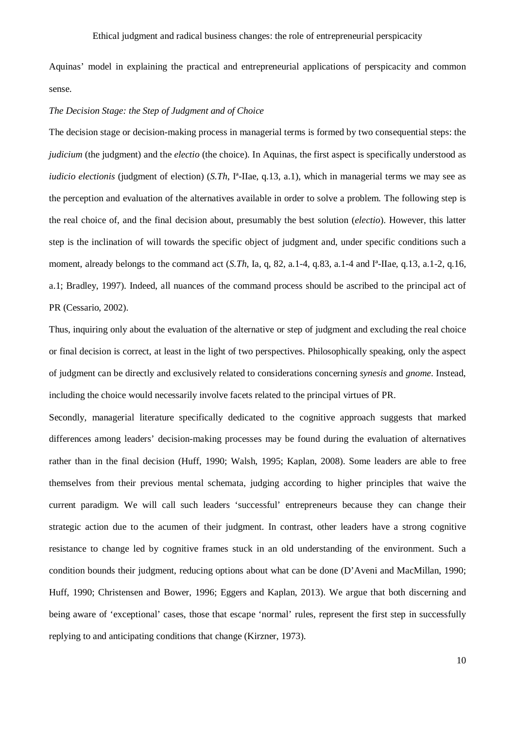Aquinas' model in explaining the practical and entrepreneurial applications of perspicacity and common sense.

## *The Decision Stage: the Step of Judgment and of Choice*

The decision stage or decision-making process in managerial terms is formed by two consequential steps: the *judicium* (the judgment) and the *electio* (the choice). In Aquinas, the first aspect is specifically understood as *iudicio electionis* (judgment of election) (*S.Th*, I<sup>a</sup>-IIae, q.13, a.1), which in managerial terms we may see as the perception and evaluation of the alternatives available in order to solve a problem. The following step is the real choice of, and the final decision about, presumably the best solution (*electio*). However, this latter step is the inclination of will towards the specific object of judgment and, under specific conditions such a moment, already belongs to the command act (*S.Th*, Ia, q, 82, a.1-4, q.83, a.1-4 and I<sup>a</sup>-IIae, q.13, a.1-2, q.16, a.1; Bradley, 1997). Indeed, all nuances of the command process should be ascribed to the principal act of PR (Cessario, 2002).

Thus, inquiring only about the evaluation of the alternative or step of judgment and excluding the real choice or final decision is correct, at least in the light of two perspectives. Philosophically speaking, only the aspect of judgment can be directly and exclusively related to considerations concerning *synesis* and *gnome*. Instead, including the choice would necessarily involve facets related to the principal virtues of PR.

Secondly, managerial literature specifically dedicated to the cognitive approach suggests that marked differences among leaders' decision-making processes may be found during the evaluation of alternatives rather than in the final decision (Huff, 1990; Walsh, 1995; Kaplan, 2008). Some leaders are able to free themselves from their previous mental schemata, judging according to higher principles that waive the current paradigm. We will call such leaders 'successful' entrepreneurs because they can change their strategic action due to the acumen of their judgment. In contrast, other leaders have a strong cognitive resistance to change led by cognitive frames stuck in an old understanding of the environment. Such a condition bounds their judgment, reducing options about what can be done (D'Aveni and MacMillan, 1990; Huff, 1990; Christensen and Bower, 1996; Eggers and Kaplan, 2013). We argue that both discerning and being aware of 'exceptional' cases, those that escape 'normal' rules, represent the first step in successfully replying to and anticipating conditions that change (Kirzner, 1973).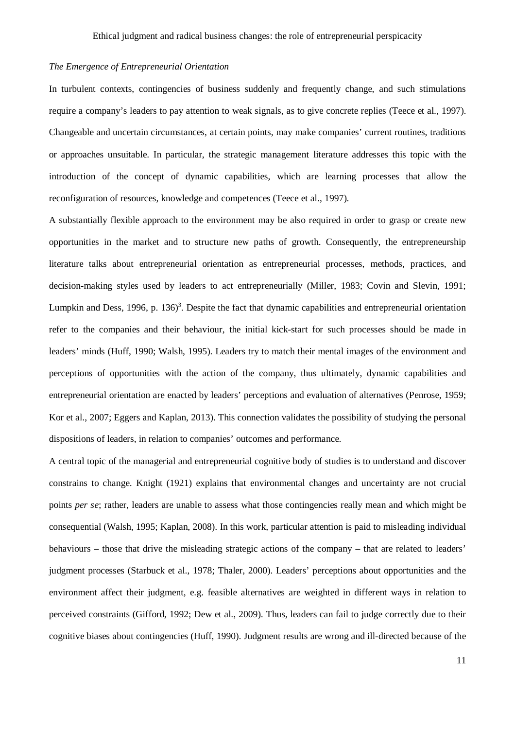## *The Emergence of Entrepreneurial Orientation*

In turbulent contexts, contingencies of business suddenly and frequently change, and such stimulations require a company's leaders to pay attention to weak signals, as to give concrete replies (Teece et al., 1997). Changeable and uncertain circumstances, at certain points, may make companies' current routines, traditions or approaches unsuitable. In particular, the strategic management literature addresses this topic with the introduction of the concept of dynamic capabilities, which are learning processes that allow the reconfiguration of resources, knowledge and competences (Teece et al., 1997).

A substantially flexible approach to the environment may be also required in order to grasp or create new opportunities in the market and to structure new paths of growth. Consequently, the entrepreneurship literature talks about entrepreneurial orientation as entrepreneurial processes, methods, practices, and decision-making styles used by leaders to act entrepreneurially (Miller, 1983; Covin and Slevin, 1991; Lumpkin and Dess, 1996, p. 136)<sup>3</sup>. Despite the fact that dynamic capabilities and entrepreneurial orientation refer to the companies and their behaviour, the initial kick-start for such processes should be made in leaders' minds (Huff, 1990; Walsh, 1995). Leaders try to match their mental images of the environment and perceptions of opportunities with the action of the company, thus ultimately, dynamic capabilities and entrepreneurial orientation are enacted by leaders' perceptions and evaluation of alternatives (Penrose, 1959; Kor et al., 2007; Eggers and Kaplan, 2013). This connection validates the possibility of studying the personal dispositions of leaders, in relation to companies' outcomes and performance.

A central topic of the managerial and entrepreneurial cognitive body of studies is to understand and discover constrains to change. Knight (1921) explains that environmental changes and uncertainty are not crucial points *per se*; rather, leaders are unable to assess what those contingencies really mean and which might be consequential (Walsh, 1995; Kaplan, 2008). In this work, particular attention is paid to misleading individual behaviours – those that drive the misleading strategic actions of the company – that are related to leaders' judgment processes (Starbuck et al., 1978; Thaler, 2000). Leaders' perceptions about opportunities and the environment affect their judgment, e.g. feasible alternatives are weighted in different ways in relation to perceived constraints (Gifford, 1992; Dew et al., 2009). Thus, leaders can fail to judge correctly due to their cognitive biases about contingencies (Huff, 1990). Judgment results are wrong and ill-directed because of the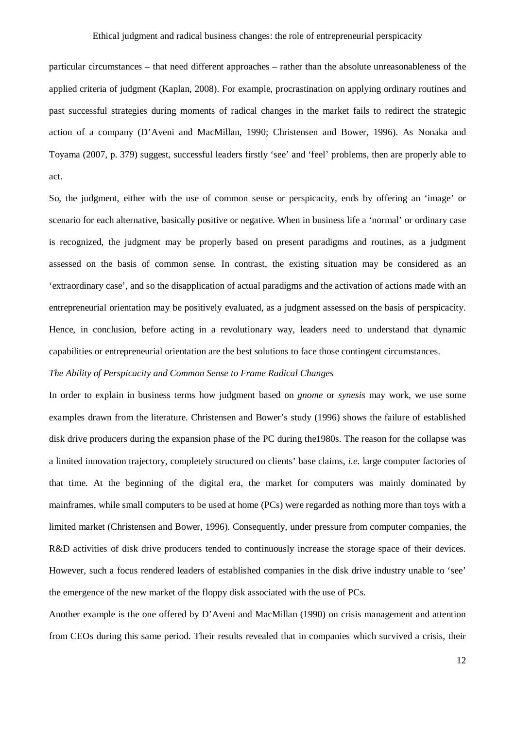particular circumstances – that need different approaches – rather than the absolute unreasonableness of the applied criteria of judgment (Kaplan, 2008). For example, procrastination on applying ordinary routines and past successful strategies during moments of radical changes in the market fails to redirect the strategic action of a company (D'Aveni and MacMillan, 1990; Christensen and Bower, 1996). As Nonaka and Toyama (2007, p. 379) suggest, successful leaders firstly 'see' and 'feel' problems, then are properly able to act.

So, the judgment, either with the use of common sense or perspicacity, ends by offering an 'image' or scenario for each alternative, basically positive or negative. When in business life a 'normal' or ordinary case is recognized, the judgment may be properly based on present paradigms and routines, as a judgment assessed on the basis of common sense. In contrast, the existing situation may be considered as an 'extraordinary case', and so the disapplication of actual paradigms and the activation of actions made with an entrepreneurial orientation may be positively evaluated, as a judgment assessed on the basis of perspicacity. Hence, in conclusion, before acting in a revolutionary way, leaders need to understand that dynamic capabilities or entrepreneurial orientation are the best solutions to face those contingent circumstances.

## *The Ability of Perspicacity and Common Sense to Frame Radical Changes*

In order to explain in business terms how judgment based on *gnome* or *synesis* may work, we use some examples drawn from the literature. Christensen and Bower's study (1996) shows the failure of established disk drive producers during the expansion phase of the PC during the1980s. The reason for the collapse was a limited innovation trajectory, completely structured on clients' base claims, *i.e.* large computer factories of that time. At the beginning of the digital era, the market for computers was mainly dominated by mainframes, while small computers to be used at home (PCs) were regarded as nothing more than toys with a limited market (Christensen and Bower, 1996). Consequently, under pressure from computer companies, the R&D activities of disk drive producers tended to continuously increase the storage space of their devices. However, such a focus rendered leaders of established companies in the disk drive industry unable to 'see' the emergence of the new market of the floppy disk associated with the use of PCs.

Another example is the one offered by D'Aveni and MacMillan (1990) on crisis management and attention from CEOs during this same period. Their results revealed that in companies which survived a crisis, their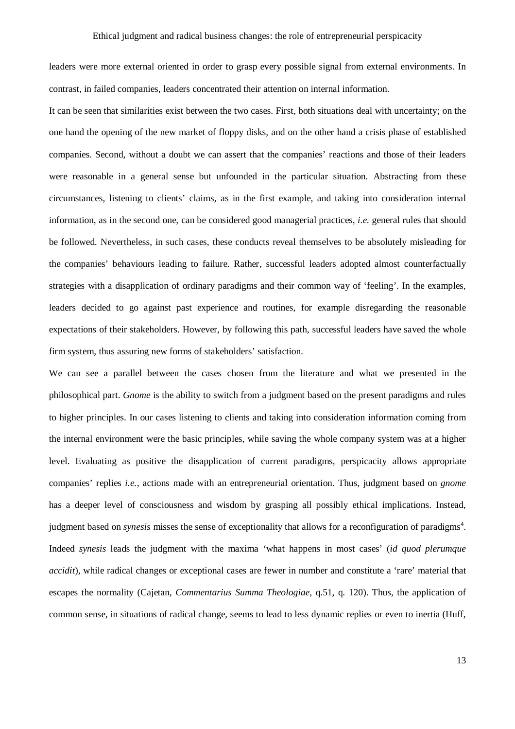leaders were more external oriented in order to grasp every possible signal from external environments. In contrast, in failed companies, leaders concentrated their attention on internal information.

It can be seen that similarities exist between the two cases. First, both situations deal with uncertainty; on the one hand the opening of the new market of floppy disks, and on the other hand a crisis phase of established companies. Second, without a doubt we can assert that the companies' reactions and those of their leaders were reasonable in a general sense but unfounded in the particular situation. Abstracting from these circumstances, listening to clients' claims, as in the first example, and taking into consideration internal information, as in the second one, can be considered good managerial practices, *i.e.* general rules that should be followed. Nevertheless, in such cases, these conducts reveal themselves to be absolutely misleading for the companies' behaviours leading to failure. Rather, successful leaders adopted almost counterfactually strategies with a disapplication of ordinary paradigms and their common way of 'feeling'. In the examples, leaders decided to go against past experience and routines, for example disregarding the reasonable expectations of their stakeholders. However, by following this path, successful leaders have saved the whole firm system, thus assuring new forms of stakeholders' satisfaction.

We can see a parallel between the cases chosen from the literature and what we presented in the philosophical part. *Gnome* is the ability to switch from a judgment based on the present paradigms and rules to higher principles. In our cases listening to clients and taking into consideration information coming from the internal environment were the basic principles, while saving the whole company system was at a higher level. Evaluating as positive the disapplication of current paradigms, perspicacity allows appropriate companies' replies *i.e.*, actions made with an entrepreneurial orientation. Thus, judgment based on *gnome* has a deeper level of consciousness and wisdom by grasping all possibly ethical implications. Instead, judgment based on *synesis* misses the sense of exceptionality that allows for a reconfiguration of paradigms 4 . Indeed *synesis* leads the judgment with the maxima 'what happens in most cases' (*id quod plerumque accidit*), while radical changes or exceptional cases are fewer in number and constitute a 'rare' material that escapes the normality (Cajetan, *Commentarius Summa Theologiae*, q.51, q. 120). Thus, the application of common sense, in situations of radical change, seems to lead to less dynamic replies or even to inertia (Huff,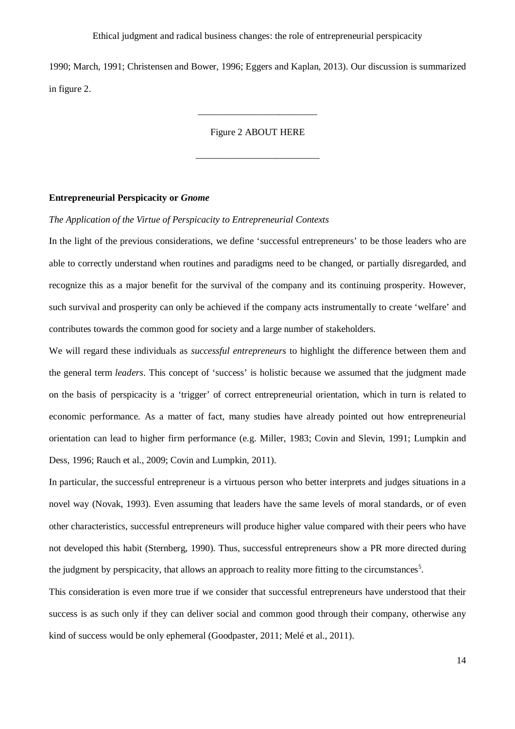1990; March, 1991; Christensen and Bower, 1996; Eggers and Kaplan, 2013). Our discussion is summarized in figure 2.

Figure 2 ABOUT HERE

\_\_\_\_\_\_\_\_\_\_\_\_\_\_\_\_\_\_\_\_\_\_\_\_\_\_

\_\_\_\_\_\_\_\_\_\_\_\_\_\_\_\_\_\_\_\_\_\_\_\_\_

## **Entrepreneurial Perspicacity or** *Gnome*

#### *The Application of the Virtue of Perspicacity to Entrepreneurial Contexts*

In the light of the previous considerations, we define 'successful entrepreneurs' to be those leaders who are able to correctly understand when routines and paradigms need to be changed, or partially disregarded, and recognize this as a major benefit for the survival of the company and its continuing prosperity. However, such survival and prosperity can only be achieved if the company acts instrumentally to create 'welfare' and contributes towards the common good for society and a large number of stakeholders.

We will regard these individuals as *successful entrepreneurs* to highlight the difference between them and the general term *leaders*. This concept of 'success' is holistic because we assumed that the judgment made on the basis of perspicacity is a 'trigger' of correct entrepreneurial orientation, which in turn is related to economic performance. As a matter of fact, many studies have already pointed out how entrepreneurial orientation can lead to higher firm performance (e.g. Miller, 1983; Covin and Slevin, 1991; Lumpkin and Dess, 1996; Rauch et al., 2009; Covin and Lumpkin, 2011).

In particular, the successful entrepreneur is a virtuous person who better interprets and judges situations in a novel way (Novak, 1993). Even assuming that leaders have the same levels of moral standards, or of even other characteristics, successful entrepreneurs will produce higher value compared with their peers who have not developed this habit (Sternberg, 1990). Thus, successful entrepreneurs show a PR more directed during the judgment by perspicacity, that allows an approach to reality more fitting to the circumstances<sup>5</sup>.

This consideration is even more true if we consider that successful entrepreneurs have understood that their success is as such only if they can deliver social and common good through their company, otherwise any kind of success would be only ephemeral (Goodpaster, 2011; Melé et al., 2011).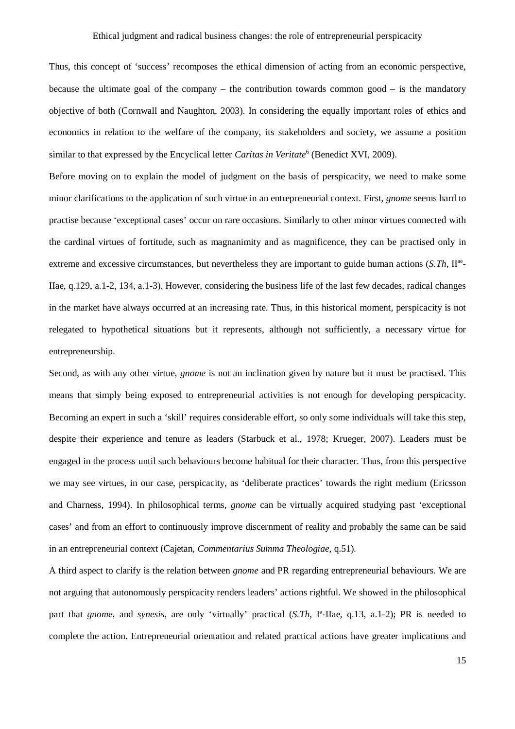Thus, this concept of 'success' recomposes the ethical dimension of acting from an economic perspective, because the ultimate goal of the company – the contribution towards common good – is the mandatory objective of both (Cornwall and Naughton, 2003). In considering the equally important roles of ethics and economics in relation to the welfare of the company, its stakeholders and society, we assume a position similar to that expressed by the Encyclical letter *Caritas in Veritate*<sup>6</sup> (Benedict XVI, 2009).

Before moving on to explain the model of judgment on the basis of perspicacity, we need to make some minor clarifications to the application of such virtue in an entrepreneurial context. First, *gnome* seems hard to practise because 'exceptional cases' occur on rare occasions. Similarly to other minor virtues connected with the cardinal virtues of fortitude, such as magnanimity and as magnificence, they can be practised only in extreme and excessive circumstances, but nevertheless they are important to guide human actions (*S.Th*, II<sup>ae</sup>-IIae, q.129, a.1-2, 134, a.1-3). However, considering the business life of the last few decades, radical changes in the market have always occurred at an increasing rate. Thus, in this historical moment, perspicacity is not relegated to hypothetical situations but it represents, although not sufficiently, a necessary virtue for entrepreneurship.

Second, as with any other virtue, *gnome* is not an inclination given by nature but it must be practised. This means that simply being exposed to entrepreneurial activities is not enough for developing perspicacity. Becoming an expert in such a 'skill' requires considerable effort, so only some individuals will take this step, despite their experience and tenure as leaders (Starbuck et al., 1978; Krueger, 2007). Leaders must be engaged in the process until such behaviours become habitual for their character. Thus, from this perspective we may see virtues, in our case, perspicacity, as 'deliberate practices' towards the right medium (Ericsson and Charness, 1994). In philosophical terms, *gnome* can be virtually acquired studying past 'exceptional cases' and from an effort to continuously improve discernment of reality and probably the same can be said in an entrepreneurial context (Cajetan, *Commentarius Summa Theologiae*, q.51).

A third aspect to clarify is the relation between *gnome* and PR regarding entrepreneurial behaviours. We are not arguing that autonomously perspicacity renders leaders' actions rightful. We showed in the philosophical part that *gnome*, and *synesis*, are only 'virtually' practical (*S.Th*, Iª-IIae, q.13, a.1-2); PR is needed to complete the action. Entrepreneurial orientation and related practical actions have greater implications and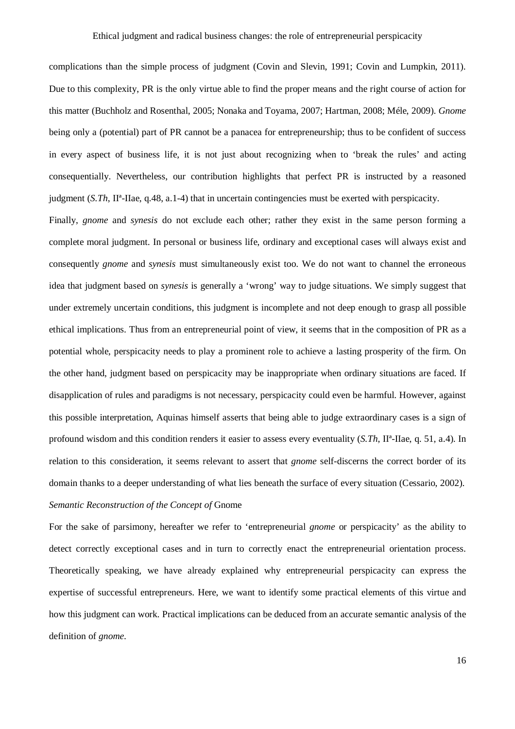complications than the simple process of judgment (Covin and Slevin, 1991; Covin and Lumpkin, 2011). Due to this complexity, PR is the only virtue able to find the proper means and the right course of action for this matter (Buchholz and Rosenthal, 2005; Nonaka and Toyama, 2007; Hartman, 2008; Méle, 2009). *Gnome* being only a (potential) part of PR cannot be a panacea for entrepreneurship; thus to be confident of success in every aspect of business life, it is not just about recognizing when to 'break the rules' and acting consequentially. Nevertheless, our contribution highlights that perfect PR is instructed by a reasoned judgment (*S.Th*, IIª-IIae, q.48, a.1-4) that in uncertain contingencies must be exerted with perspicacity.

Finally, *gnome* and *synesis* do not exclude each other; rather they exist in the same person forming a complete moral judgment. In personal or business life, ordinary and exceptional cases will always exist and consequently *gnome* and *synesis* must simultaneously exist too. We do not want to channel the erroneous idea that judgment based on *synesis* is generally a 'wrong' way to judge situations. We simply suggest that under extremely uncertain conditions, this judgment is incomplete and not deep enough to grasp all possible ethical implications. Thus from an entrepreneurial point of view, it seems that in the composition of PR as a potential whole, perspicacity needs to play a prominent role to achieve a lasting prosperity of the firm. On the other hand, judgment based on perspicacity may be inappropriate when ordinary situations are faced. If disapplication of rules and paradigms is not necessary, perspicacity could even be harmful. However, against this possible interpretation, Aquinas himself asserts that being able to judge extraordinary cases is a sign of profound wisdom and this condition renders it easier to assess every eventuality (*S.Th*, IIª-IIae, q. 51, a.4). In relation to this consideration, it seems relevant to assert that *gnome* self-discerns the correct border of its domain thanks to a deeper understanding of what lies beneath the surface of every situation (Cessario, 2002). *Semantic Reconstruction of the Concept of* Gnome

For the sake of parsimony, hereafter we refer to 'entrepreneurial *gnome* or perspicacity' as the ability to detect correctly exceptional cases and in turn to correctly enact the entrepreneurial orientation process. Theoretically speaking, we have already explained why entrepreneurial perspicacity can express the expertise of successful entrepreneurs. Here, we want to identify some practical elements of this virtue and how this judgment can work. Practical implications can be deduced from an accurate semantic analysis of the definition of *gnome*.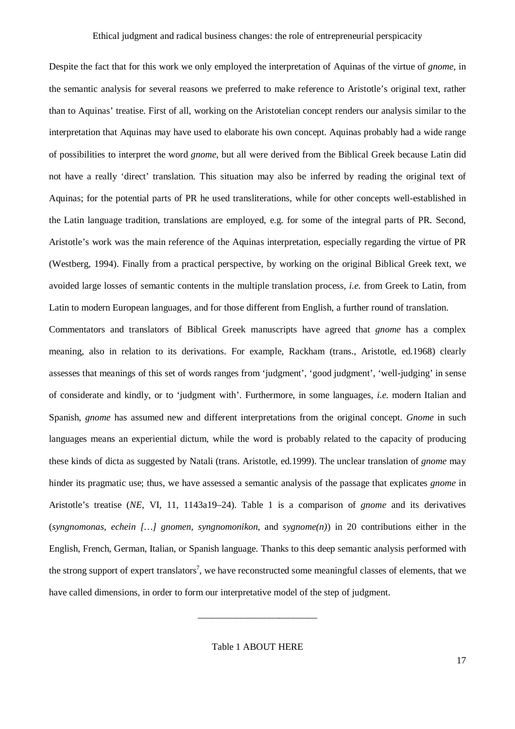Despite the fact that for this work we only employed the interpretation of Aquinas of the virtue of *gnome*, in the semantic analysis for several reasons we preferred to make reference to Aristotle's original text, rather than to Aquinas' treatise. First of all, working on the Aristotelian concept renders our analysis similar to the interpretation that Aquinas may have used to elaborate his own concept. Aquinas probably had a wide range of possibilities to interpret the word *gnome*, but all were derived from the Biblical Greek because Latin did not have a really 'direct' translation. This situation may also be inferred by reading the original text of Aquinas; for the potential parts of PR he used transliterations, while for other concepts well-established in the Latin language tradition, translations are employed, e.g. for some of the integral parts of PR. Second, Aristotle's work was the main reference of the Aquinas interpretation, especially regarding the virtue of PR (Westberg, 1994). Finally from a practical perspective, by working on the original Biblical Greek text, we avoided large losses of semantic contents in the multiple translation process, *i.e.* from Greek to Latin, from Latin to modern European languages, and for those different from English, a further round of translation.

Commentators and translators of Biblical Greek manuscripts have agreed that *gnome* has a complex meaning, also in relation to its derivations. For example, Rackham (trans., Aristotle, ed.1968) clearly assesses that meanings of this set of words ranges from 'judgment', 'good judgment', 'well-judging' in sense of considerate and kindly, or to 'judgment with'. Furthermore, in some languages, *i.e.* modern Italian and Spanish, *gnome* has assumed new and different interpretations from the original concept. *Gnome* in such languages means an experiential dictum, while the word is probably related to the capacity of producing these kinds of dicta as suggested by Natali (trans. Aristotle, ed.1999). The unclear translation of *gnome* may hinder its pragmatic use; thus, we have assessed a semantic analysis of the passage that explicates *gnome* in Aristotle's treatise (*NE*, VI, 11, 1143a19–24). Table 1 is a comparison of *gnome* and its derivatives (*syngnomonas*, *echein […] gnomen*, *syngnomonikon*, and *sygnome(n)*) in 20 contributions either in the English, French, German, Italian, or Spanish language. Thanks to this deep semantic analysis performed with the strong support of expert translators<sup>7</sup>, we have reconstructed some meaningful classes of elements, that we have called dimensions, in order to form our interpretative model of the step of judgment.

Table 1 ABOUT HERE

\_\_\_\_\_\_\_\_\_\_\_\_\_\_\_\_\_\_\_\_\_\_\_\_\_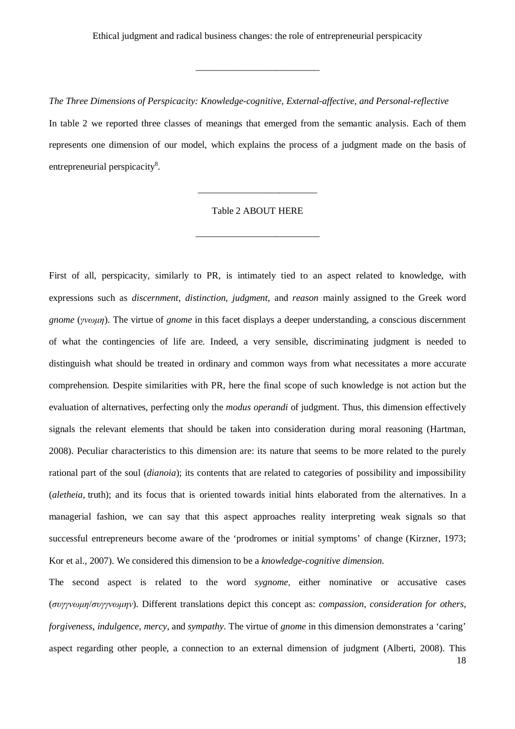\_\_\_\_\_\_\_\_\_\_\_\_\_\_\_\_\_\_\_\_\_\_\_\_\_\_

*The Three Dimensions of Perspicacity: Knowledge-cognitive, External-affective, and Personal-reflective* In table 2 we reported three classes of meanings that emerged from the semantic analysis. Each of them represents one dimension of our model, which explains the process of a judgment made on the basis of entrepreneurial perspicacity<sup>8</sup>.

## Table 2 ABOUT HERE

\_\_\_\_\_\_\_\_\_\_\_\_\_\_\_\_\_\_\_\_\_\_\_\_\_\_

\_\_\_\_\_\_\_\_\_\_\_\_\_\_\_\_\_\_\_\_\_\_\_\_\_

First of all, perspicacity, similarly to PR, is intimately tied to an aspect related to knowledge, with expressions such as *discernment*, *distinction*, *judgment*, and *reason* mainly assigned to the Greek word *gnome* (*γνωμη*). The virtue of *gnome* in this facet displays a deeper understanding, a conscious discernment of what the contingencies of life are. Indeed, a very sensible, discriminating judgment is needed to distinguish what should be treated in ordinary and common ways from what necessitates a more accurate comprehension. Despite similarities with PR, here the final scope of such knowledge is not action but the evaluation of alternatives, perfecting only the *modus operandi* of judgment. Thus, this dimension effectively signals the relevant elements that should be taken into consideration during moral reasoning (Hartman, 2008). Peculiar characteristics to this dimension are: its nature that seems to be more related to the purely rational part of the soul (*dianoia*); its contents that are related to categories of possibility and impossibility (*aletheia*, truth); and its focus that is oriented towards initial hints elaborated from the alternatives. In a managerial fashion, we can say that this aspect approaches reality interpreting weak signals so that successful entrepreneurs become aware of the 'prodromes or initial symptoms' of change (Kirzner, 1973; Kor et al., 2007). We considered this dimension to be a *knowledge-cognitive dimension*.

The second aspect is related to the word *sygnome*, either nominative or accusative cases (*συγγνωμη*/*συγγνωμην*). Different translations depict this concept as: *compassion*, *consideration for others*, *forgiveness*, *indulgence*, *mercy*, and *sympathy*. The virtue of *gnome* in this dimension demonstrates a 'caring' aspect regarding other people, a connection to an external dimension of judgment (Alberti, 2008). This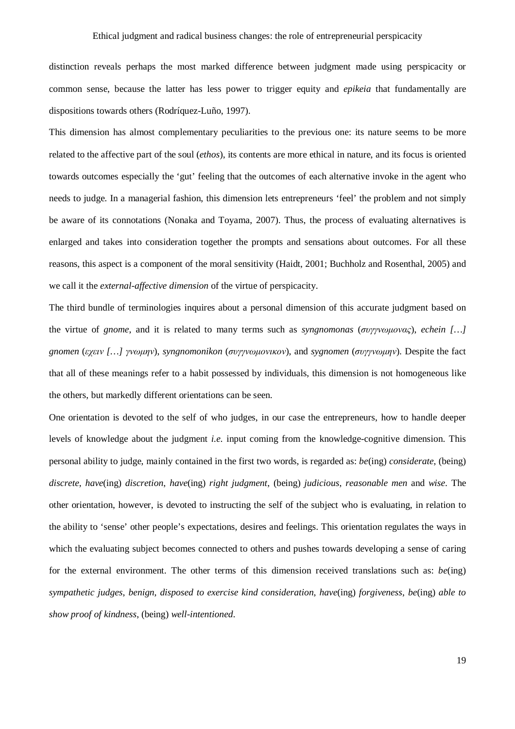distinction reveals perhaps the most marked difference between judgment made using perspicacity or common sense, because the latter has less power to trigger equity and *epikeia* that fundamentally are dispositions towards others (Rodríquez-Luño, 1997).

This dimension has almost complementary peculiarities to the previous one: its nature seems to be more related to the affective part of the soul (*ethos*), its contents are more ethical in nature, and its focus is oriented towards outcomes especially the 'gut' feeling that the outcomes of each alternative invoke in the agent who needs to judge. In a managerial fashion, this dimension lets entrepreneurs 'feel' the problem and not simply be aware of its connotations (Nonaka and Toyama, 2007). Thus, the process of evaluating alternatives is enlarged and takes into consideration together the prompts and sensations about outcomes. For all these reasons, this aspect is a component of the moral sensitivity (Haidt, 2001; Buchholz and Rosenthal, 2005) and we call it the *external-affective dimension* of the virtue of perspicacity.

The third bundle of terminologies inquires about a personal dimension of this accurate judgment based on the virtue of *gnome*, and it is related to many terms such as *syngnomonas* (*συγγνωμονας*), *echein […] gnomen* (*εχειν […] γνωμην*), *syngnomonikon* (*συγγνωμονικoν*), and *sygnomen* (*συγγνωμην*). Despite the fact that all of these meanings refer to a habit possessed by individuals, this dimension is not homogeneous like the others, but markedly different orientations can be seen.

One orientation is devoted to the self of who judges, in our case the entrepreneurs, how to handle deeper levels of knowledge about the judgment *i.e.* input coming from the knowledge-cognitive dimension. This personal ability to judge, mainly contained in the first two words, is regarded as: *be*(ing) *considerate*, (being) *discrete*, *have*(ing) *discretion*, *have*(ing) *right judgment*, (being) *judicious*, *reasonable men* and *wise*. The other orientation, however, is devoted to instructing the self of the subject who is evaluating, in relation to the ability to 'sense' other people's expectations, desires and feelings. This orientation regulates the ways in which the evaluating subject becomes connected to others and pushes towards developing a sense of caring for the external environment. The other terms of this dimension received translations such as: *be*(ing) *sympathetic judges*, *benign*, *disposed to exercise kind consideration*, *have*(ing) *forgiveness*, *be*(ing) *able to show proof of kindness*, (being) *well-intentioned*.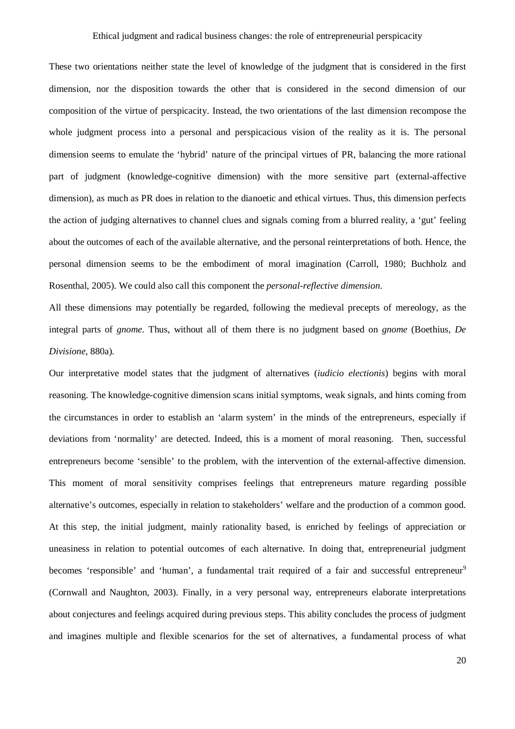These two orientations neither state the level of knowledge of the judgment that is considered in the first dimension, nor the disposition towards the other that is considered in the second dimension of our composition of the virtue of perspicacity. Instead, the two orientations of the last dimension recompose the whole judgment process into a personal and perspicacious vision of the reality as it is. The personal dimension seems to emulate the 'hybrid' nature of the principal virtues of PR, balancing the more rational part of judgment (knowledge-cognitive dimension) with the more sensitive part (external-affective dimension), as much as PR does in relation to the dianoetic and ethical virtues. Thus, this dimension perfects the action of judging alternatives to channel clues and signals coming from a blurred reality, a 'gut' feeling about the outcomes of each of the available alternative, and the personal reinterpretations of both. Hence, the personal dimension seems to be the embodiment of moral imagination (Carroll, 1980; Buchholz and Rosenthal, 2005). We could also call this component the *personal-reflective dimension*.

All these dimensions may potentially be regarded, following the medieval precepts of mereology, as the integral parts of *gnome*. Thus, without all of them there is no judgment based on *gnome* (Boethius, *De Divisione*, 880a).

Our interpretative model states that the judgment of alternatives (*iudicio electionis*) begins with moral reasoning. The knowledge-cognitive dimension scans initial symptoms, weak signals, and hints coming from the circumstances in order to establish an 'alarm system' in the minds of the entrepreneurs, especially if deviations from 'normality' are detected. Indeed, this is a moment of moral reasoning. Then, successful entrepreneurs become 'sensible' to the problem, with the intervention of the external-affective dimension. This moment of moral sensitivity comprises feelings that entrepreneurs mature regarding possible alternative's outcomes, especially in relation to stakeholders' welfare and the production of a common good. At this step, the initial judgment, mainly rationality based, is enriched by feelings of appreciation or uneasiness in relation to potential outcomes of each alternative. In doing that, entrepreneurial judgment becomes 'responsible' and 'human', a fundamental trait required of a fair and successful entrepreneur<sup>9</sup> (Cornwall and Naughton, 2003). Finally, in a very personal way, entrepreneurs elaborate interpretations about conjectures and feelings acquired during previous steps. This ability concludes the process of judgment and imagines multiple and flexible scenarios for the set of alternatives, a fundamental process of what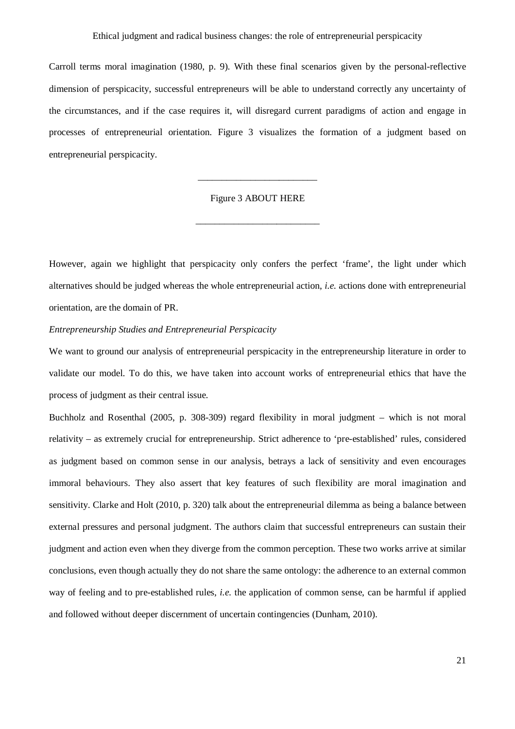Carroll terms moral imagination (1980, p. 9). With these final scenarios given by the personal-reflective dimension of perspicacity, successful entrepreneurs will be able to understand correctly any uncertainty of the circumstances, and if the case requires it, will disregard current paradigms of action and engage in processes of entrepreneurial orientation. Figure 3 visualizes the formation of a judgment based on entrepreneurial perspicacity.

## Figure 3 ABOUT HERE

\_\_\_\_\_\_\_\_\_\_\_\_\_\_\_\_\_\_\_\_\_\_\_\_\_\_

\_\_\_\_\_\_\_\_\_\_\_\_\_\_\_\_\_\_\_\_\_\_\_\_\_

However, again we highlight that perspicacity only confers the perfect 'frame', the light under which alternatives should be judged whereas the whole entrepreneurial action, *i.e.* actions done with entrepreneurial orientation, are the domain of PR.

## *Entrepreneurship Studies and Entrepreneurial Perspicacity*

We want to ground our analysis of entrepreneurial perspicacity in the entrepreneurship literature in order to validate our model. To do this, we have taken into account works of entrepreneurial ethics that have the process of judgment as their central issue.

Buchholz and Rosenthal (2005, p. 308-309) regard flexibility in moral judgment – which is not moral relativity – as extremely crucial for entrepreneurship. Strict adherence to 'pre-established' rules, considered as judgment based on common sense in our analysis, betrays a lack of sensitivity and even encourages immoral behaviours. They also assert that key features of such flexibility are moral imagination and sensitivity. Clarke and Holt (2010, p. 320) talk about the entrepreneurial dilemma as being a balance between external pressures and personal judgment. The authors claim that successful entrepreneurs can sustain their judgment and action even when they diverge from the common perception. These two works arrive at similar conclusions, even though actually they do not share the same ontology: the adherence to an external common way of feeling and to pre-established rules, *i.e.* the application of common sense, can be harmful if applied and followed without deeper discernment of uncertain contingencies (Dunham, 2010).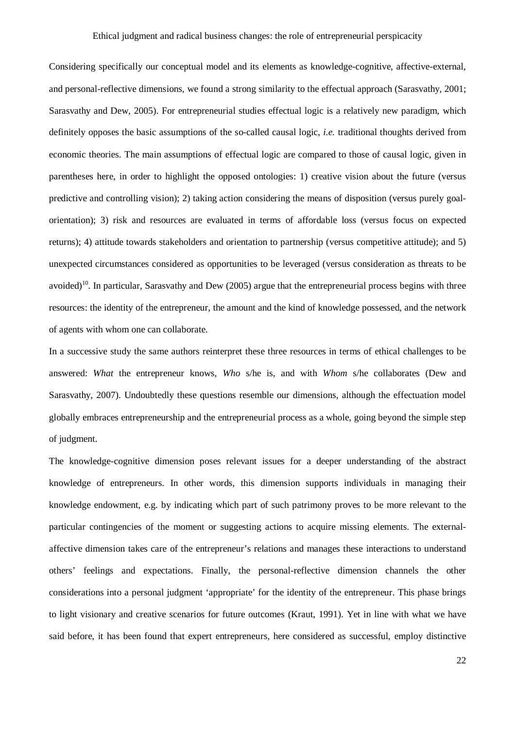Considering specifically our conceptual model and its elements as knowledge-cognitive, affective-external, and personal-reflective dimensions, we found a strong similarity to the effectual approach (Sarasvathy, 2001; Sarasvathy and Dew, 2005). For entrepreneurial studies effectual logic is a relatively new paradigm, which definitely opposes the basic assumptions of the so-called causal logic, *i.e.* traditional thoughts derived from economic theories. The main assumptions of effectual logic are compared to those of causal logic, given in parentheses here, in order to highlight the opposed ontologies: 1) creative vision about the future (versus predictive and controlling vision); 2) taking action considering the means of disposition (versus purely goalorientation); 3) risk and resources are evaluated in terms of affordable loss (versus focus on expected returns); 4) attitude towards stakeholders and orientation to partnership (versus competitive attitude); and 5) unexpected circumstances considered as opportunities to be leveraged (versus consideration as threats to be avoided)<sup>10</sup>. In particular, Sarasvathy and Dew (2005) argue that the entrepreneurial process begins with three resources: the identity of the entrepreneur, the amount and the kind of knowledge possessed, and the network of agents with whom one can collaborate.

In a successive study the same authors reinterpret these three resources in terms of ethical challenges to be answered: *What* the entrepreneur knows, *Who* s/he is, and with *Whom* s/he collaborates (Dew and Sarasvathy, 2007). Undoubtedly these questions resemble our dimensions, although the effectuation model globally embraces entrepreneurship and the entrepreneurial process as a whole, going beyond the simple step of judgment.

The knowledge-cognitive dimension poses relevant issues for a deeper understanding of the abstract knowledge of entrepreneurs. In other words, this dimension supports individuals in managing their knowledge endowment, e.g. by indicating which part of such patrimony proves to be more relevant to the particular contingencies of the moment or suggesting actions to acquire missing elements. The externalaffective dimension takes care of the entrepreneur's relations and manages these interactions to understand others' feelings and expectations. Finally, the personal-reflective dimension channels the other considerations into a personal judgment 'appropriate' for the identity of the entrepreneur. This phase brings to light visionary and creative scenarios for future outcomes (Kraut, 1991). Yet in line with what we have said before, it has been found that expert entrepreneurs, here considered as successful, employ distinctive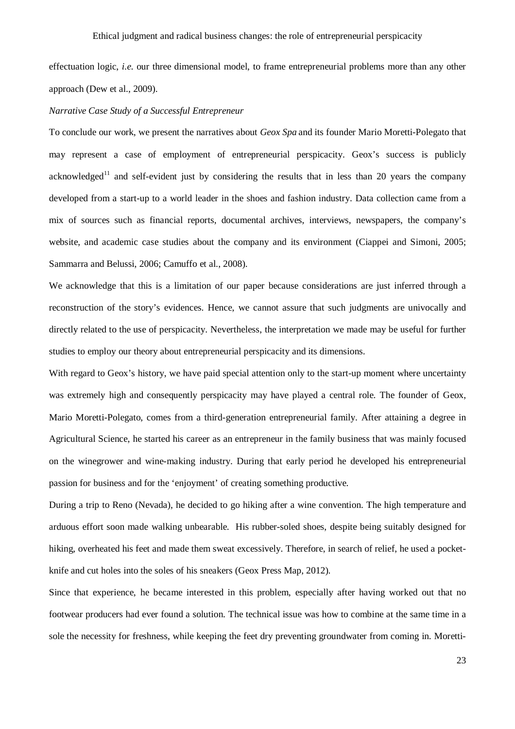effectuation logic, *i.e.* our three dimensional model, to frame entrepreneurial problems more than any other approach (Dew et al., 2009).

## *Narrative Case Study of a Successful Entrepreneur*

To conclude our work, we present the narratives about *Geox Spa* and its founder Mario Moretti-Polegato that may represent a case of employment of entrepreneurial perspicacity. Geox's success is publicly acknowledged<sup>11</sup> and self-evident just by considering the results that in less than 20 years the company developed from a start-up to a world leader in the shoes and fashion industry. Data collection came from a mix of sources such as financial reports, documental archives, interviews, newspapers, the company's website, and academic case studies about the company and its environment (Ciappei and Simoni, 2005; Sammarra and Belussi, 2006; Camuffo et al., 2008).

We acknowledge that this is a limitation of our paper because considerations are just inferred through a reconstruction of the story's evidences. Hence, we cannot assure that such judgments are univocally and directly related to the use of perspicacity. Nevertheless, the interpretation we made may be useful for further studies to employ our theory about entrepreneurial perspicacity and its dimensions.

With regard to Geox's history, we have paid special attention only to the start-up moment where uncertainty was extremely high and consequently perspicacity may have played a central role. The founder of Geox, Mario Moretti-Polegato, comes from a third-generation entrepreneurial family. After attaining a degree in Agricultural Science, he started his career as an entrepreneur in the family business that was mainly focused on the winegrower and wine-making industry. During that early period he developed his entrepreneurial passion for business and for the 'enjoyment' of creating something productive.

During a trip to Reno (Nevada), he decided to go hiking after a wine convention. The high temperature and arduous effort soon made walking unbearable. His rubber-soled shoes, despite being suitably designed for hiking, overheated his feet and made them sweat excessively. Therefore, in search of relief, he used a pocketknife and cut holes into the soles of his sneakers (Geox Press Map, 2012).

Since that experience, he became interested in this problem, especially after having worked out that no footwear producers had ever found a solution. The technical issue was how to combine at the same time in a sole the necessity for freshness, while keeping the feet dry preventing groundwater from coming in. Moretti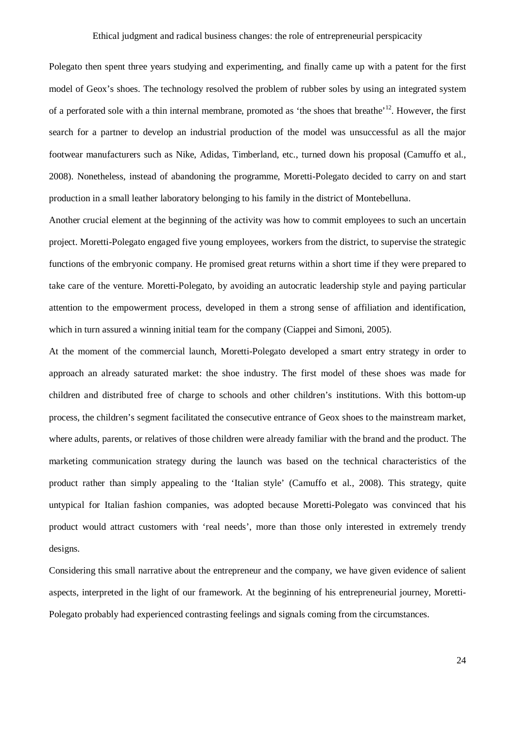Polegato then spent three years studying and experimenting, and finally came up with a patent for the first model of Geox's shoes. The technology resolved the problem of rubber soles by using an integrated system of a perforated sole with a thin internal membrane, promoted as 'the shoes that breathe'<sup>12</sup>. However, the first search for a partner to develop an industrial production of the model was unsuccessful as all the major footwear manufacturers such as Nike, Adidas, Timberland, etc., turned down his proposal (Camuffo et al., 2008). Nonetheless, instead of abandoning the programme, Moretti-Polegato decided to carry on and start production in a small leather laboratory belonging to his family in the district of Montebelluna.

Another crucial element at the beginning of the activity was how to commit employees to such an uncertain project. Moretti-Polegato engaged five young employees, workers from the district, to supervise the strategic functions of the embryonic company. He promised great returns within a short time if they were prepared to take care of the venture. Moretti-Polegato, by avoiding an autocratic leadership style and paying particular attention to the empowerment process, developed in them a strong sense of affiliation and identification, which in turn assured a winning initial team for the company (Ciappei and Simoni, 2005).

At the moment of the commercial launch, Moretti-Polegato developed a smart entry strategy in order to approach an already saturated market: the shoe industry. The first model of these shoes was made for children and distributed free of charge to schools and other children's institutions. With this bottom-up process, the children's segment facilitated the consecutive entrance of Geox shoes to the mainstream market, where adults, parents, or relatives of those children were already familiar with the brand and the product. The marketing communication strategy during the launch was based on the technical characteristics of the product rather than simply appealing to the 'Italian style' (Camuffo et al., 2008). This strategy, quite untypical for Italian fashion companies, was adopted because Moretti-Polegato was convinced that his product would attract customers with 'real needs', more than those only interested in extremely trendy designs.

Considering this small narrative about the entrepreneur and the company, we have given evidence of salient aspects, interpreted in the light of our framework. At the beginning of his entrepreneurial journey, Moretti-Polegato probably had experienced contrasting feelings and signals coming from the circumstances.

24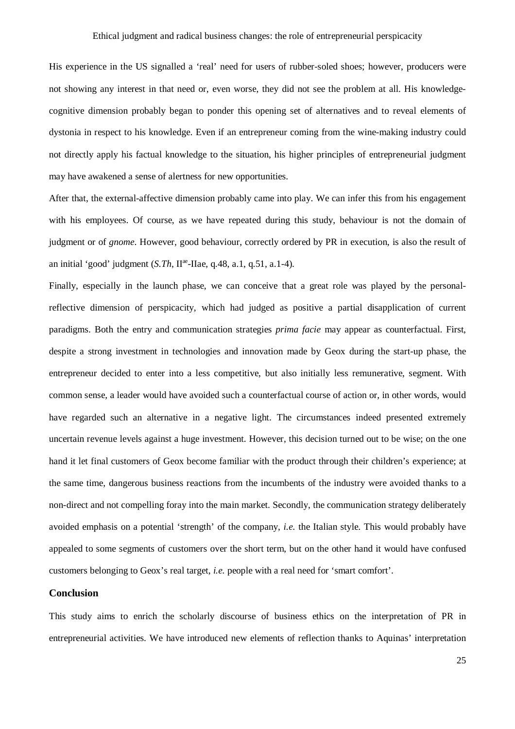His experience in the US signalled a 'real' need for users of rubber-soled shoes; however, producers were not showing any interest in that need or, even worse, they did not see the problem at all. His knowledgecognitive dimension probably began to ponder this opening set of alternatives and to reveal elements of dystonia in respect to his knowledge. Even if an entrepreneur coming from the wine-making industry could not directly apply his factual knowledge to the situation, his higher principles of entrepreneurial judgment may have awakened a sense of alertness for new opportunities.

After that, the external-affective dimension probably came into play. We can infer this from his engagement with his employees. Of course, as we have repeated during this study, behaviour is not the domain of judgment or of *gnome*. However, good behaviour, correctly ordered by PR in execution, is also the result of an initial 'good' judgment (*S.Th*, II<sup>ae</sup>-IIae, q.48, a.1, q.51, a.1-4).

Finally, especially in the launch phase, we can conceive that a great role was played by the personalreflective dimension of perspicacity, which had judged as positive a partial disapplication of current paradigms. Both the entry and communication strategies *prima facie* may appear as counterfactual. First, despite a strong investment in technologies and innovation made by Geox during the start-up phase, the entrepreneur decided to enter into a less competitive, but also initially less remunerative, segment. With common sense, a leader would have avoided such a counterfactual course of action or, in other words, would have regarded such an alternative in a negative light. The circumstances indeed presented extremely uncertain revenue levels against a huge investment. However, this decision turned out to be wise; on the one hand it let final customers of Geox become familiar with the product through their children's experience; at the same time, dangerous business reactions from the incumbents of the industry were avoided thanks to a non-direct and not compelling foray into the main market. Secondly, the communication strategy deliberately avoided emphasis on a potential 'strength' of the company, *i.e.* the Italian style. This would probably have appealed to some segments of customers over the short term, but on the other hand it would have confused customers belonging to Geox's real target, *i.e.* people with a real need for 'smart comfort'.

## **Conclusion**

This study aims to enrich the scholarly discourse of business ethics on the interpretation of PR in entrepreneurial activities. We have introduced new elements of reflection thanks to Aquinas' interpretation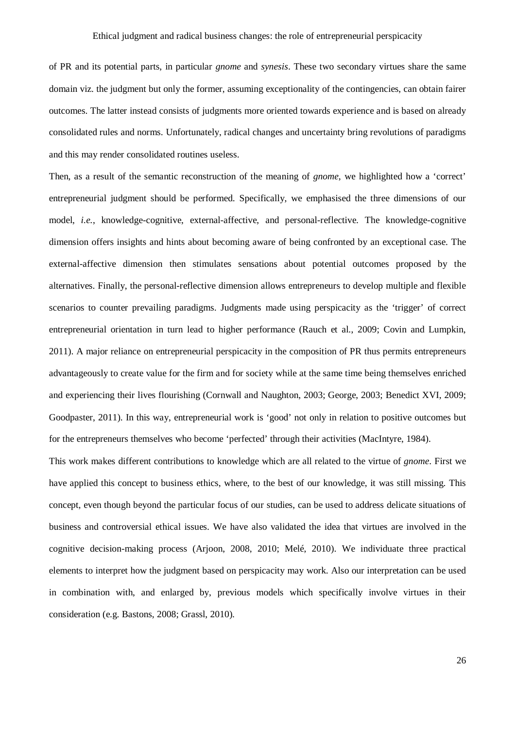of PR and its potential parts, in particular *gnome* and *synesis*. These two secondary virtues share the same domain viz. the judgment but only the former, assuming exceptionality of the contingencies, can obtain fairer outcomes. The latter instead consists of judgments more oriented towards experience and is based on already consolidated rules and norms. Unfortunately, radical changes and uncertainty bring revolutions of paradigms and this may render consolidated routines useless.

Then, as a result of the semantic reconstruction of the meaning of *gnome*, we highlighted how a 'correct' entrepreneurial judgment should be performed. Specifically, we emphasised the three dimensions of our model, *i.e.*, knowledge-cognitive, external-affective, and personal-reflective. The knowledge-cognitive dimension offers insights and hints about becoming aware of being confronted by an exceptional case. The external-affective dimension then stimulates sensations about potential outcomes proposed by the alternatives. Finally, the personal-reflective dimension allows entrepreneurs to develop multiple and flexible scenarios to counter prevailing paradigms. Judgments made using perspicacity as the 'trigger' of correct entrepreneurial orientation in turn lead to higher performance (Rauch et al., 2009; Covin and Lumpkin, 2011). A major reliance on entrepreneurial perspicacity in the composition of PR thus permits entrepreneurs advantageously to create value for the firm and for society while at the same time being themselves enriched and experiencing their lives flourishing (Cornwall and Naughton, 2003; George, 2003; Benedict XVI, 2009; Goodpaster, 2011). In this way, entrepreneurial work is 'good' not only in relation to positive outcomes but for the entrepreneurs themselves who become 'perfected' through their activities (MacIntyre, 1984).

This work makes different contributions to knowledge which are all related to the virtue of *gnome*. First we have applied this concept to business ethics, where, to the best of our knowledge, it was still missing. This concept, even though beyond the particular focus of our studies, can be used to address delicate situations of business and controversial ethical issues. We have also validated the idea that virtues are involved in the cognitive decision-making process (Arjoon, 2008, 2010; Melé, 2010). We individuate three practical elements to interpret how the judgment based on perspicacity may work. Also our interpretation can be used in combination with, and enlarged by, previous models which specifically involve virtues in their consideration (e.g. Bastons, 2008; Grassl, 2010).

26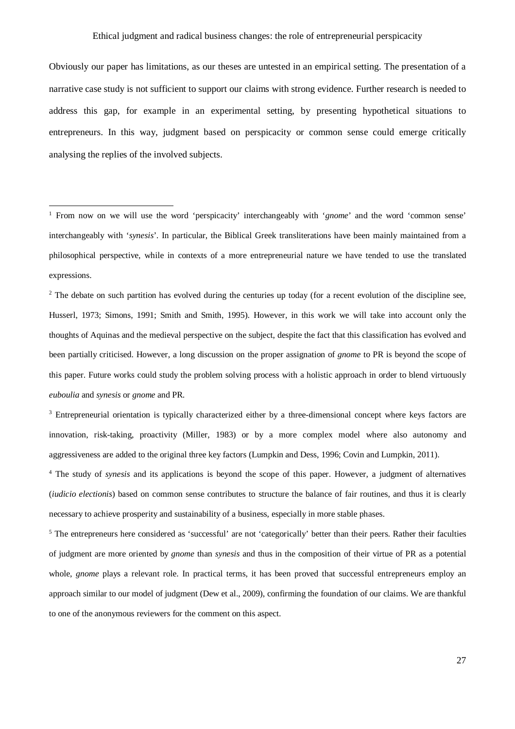Obviously our paper has limitations, as our theses are untested in an empirical setting. The presentation of a narrative case study is not sufficient to support our claims with strong evidence. Further research is needed to address this gap, for example in an experimental setting, by presenting hypothetical situations to entrepreneurs. In this way, judgment based on perspicacity or common sense could emerge critically analysing the replies of the involved subjects.

 $\overline{a}$ 

<sup>2</sup> The debate on such partition has evolved during the centuries up today (for a recent evolution of the discipline see, Husserl, 1973; Simons, 1991; Smith and Smith, 1995). However, in this work we will take into account only the thoughts of Aquinas and the medieval perspective on the subject, despite the fact that this classification has evolved and been partially criticised. However, a long discussion on the proper assignation of *gnome* to PR is beyond the scope of this paper. Future works could study the problem solving process with a holistic approach in order to blend virtuously *euboulia* and *synesis* or *gnome* and PR.

<sup>3</sup> Entrepreneurial orientation is typically characterized either by a three-dimensional concept where keys factors are innovation, risk-taking, proactivity (Miller, 1983) or by a more complex model where also autonomy and aggressiveness are added to the original three key factors (Lumpkin and Dess, 1996; Covin and Lumpkin, 2011).

<sup>4</sup> The study of *synesis* and its applications is beyond the scope of this paper. However, a judgment of alternatives (*iudicio electionis*) based on common sense contributes to structure the balance of fair routines, and thus it is clearly necessary to achieve prosperity and sustainability of a business, especially in more stable phases.

<sup>5</sup> The entrepreneurs here considered as 'successful' are not 'categorically' better than their peers. Rather their faculties of judgment are more oriented by *gnome* than *synesis* and thus in the composition of their virtue of PR as a potential whole, *gnome* plays a relevant role. In practical terms, it has been proved that successful entrepreneurs employ an approach similar to our model of judgment (Dew et al., 2009), confirming the foundation of our claims. We are thankful to one of the anonymous reviewers for the comment on this aspect.

<sup>1</sup> From now on we will use the word 'perspicacity' interchangeably with '*gnome*' and the word 'common sense' interchangeably with '*synesis*'. In particular, the Biblical Greek transliterations have been mainly maintained from a philosophical perspective, while in contexts of a more entrepreneurial nature we have tended to use the translated expressions.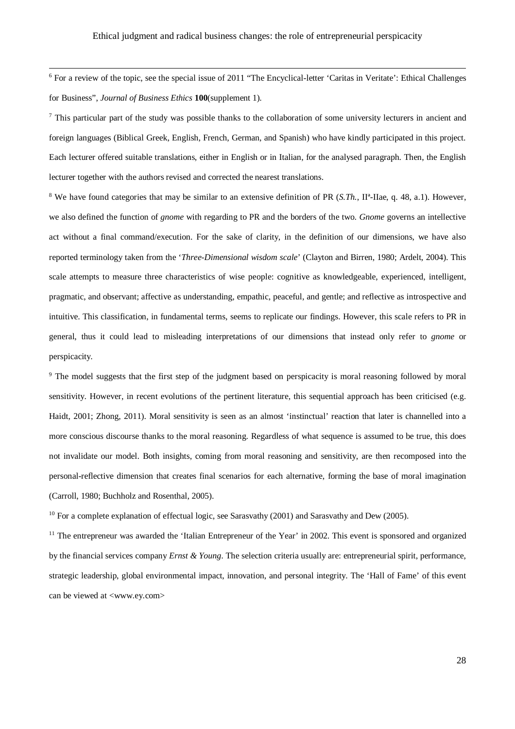<sup>6</sup> For a review of the topic, see the special issue of 2011 "The Encyclical-letter 'Caritas in Veritate': Ethical Challenges for Business", *Journal of Business Ethics* **100**(supplement 1).

 $\overline{\phantom{a}}$ 

 $\frac{7}{1}$  This particular part of the study was possible thanks to the collaboration of some university lecturers in ancient and foreign languages (Biblical Greek, English, French, German, and Spanish) who have kindly participated in this project. Each lecturer offered suitable translations, either in English or in Italian, for the analysed paragraph. Then, the English lecturer together with the authors revised and corrected the nearest translations.

<sup>8</sup> We have found categories that may be similar to an extensive definition of PR (*S.Th.*, II<sup>a</sup>-IIae, q. 48, a.1). However, we also defined the function of *gnome* with regarding to PR and the borders of the two. *Gnome* governs an intellective act without a final command/execution. For the sake of clarity, in the definition of our dimensions, we have also reported terminology taken from the '*Three-Dimensional wisdom scale*' (Clayton and Birren, 1980; Ardelt, 2004). This scale attempts to measure three characteristics of wise people: cognitive as knowledgeable, experienced, intelligent, pragmatic, and observant; affective as understanding, empathic, peaceful, and gentle; and reflective as introspective and intuitive. This classification, in fundamental terms, seems to replicate our findings. However, this scale refers to PR in general, thus it could lead to misleading interpretations of our dimensions that instead only refer to *gnome* or perspicacity.

<sup>9</sup> The model suggests that the first step of the judgment based on perspicacity is moral reasoning followed by moral sensitivity. However, in recent evolutions of the pertinent literature, this sequential approach has been criticised (e.g. Haidt, 2001; Zhong, 2011). Moral sensitivity is seen as an almost 'instinctual' reaction that later is channelled into a more conscious discourse thanks to the moral reasoning. Regardless of what sequence is assumed to be true, this does not invalidate our model. Both insights, coming from moral reasoning and sensitivity, are then recomposed into the personal-reflective dimension that creates final scenarios for each alternative, forming the base of moral imagination (Carroll, 1980; Buchholz and Rosenthal, 2005).

<sup>10</sup> For a complete explanation of effectual logic, see Sarasvathy (2001) and Sarasvathy and Dew (2005).

 $<sup>11</sup>$  The entrepreneur was awarded the 'Italian Entrepreneur of the Year' in 2002. This event is sponsored and organized</sup> by the financial services company *Ernst & Young*. The selection criteria usually are: entrepreneurial spirit, performance, strategic leadership, global environmental impact, innovation, and personal integrity. The 'Hall of Fame' of this event can be viewed at <www.ey.com>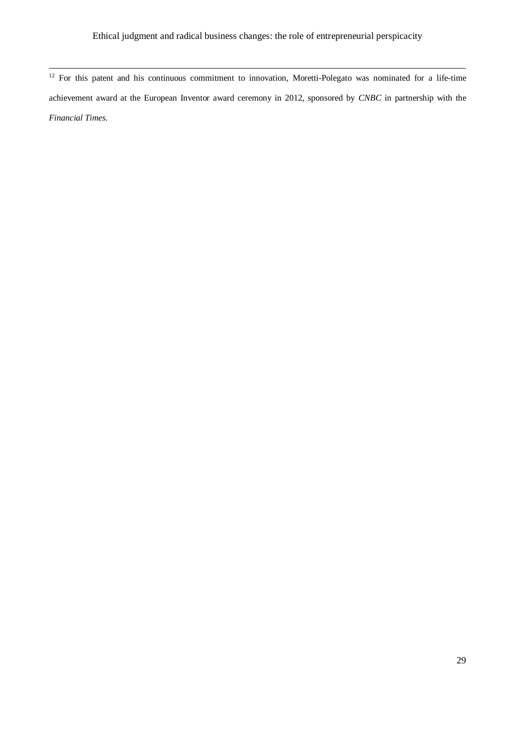$12$  For this patent and his continuous commitment to innovation, Moretti-Polegato was nominated for a life-time achievement award at the European Inventor award ceremony in 2012, sponsored by *CNBC* in partnership with the *Financial Times*.

 $\overline{\phantom{a}}$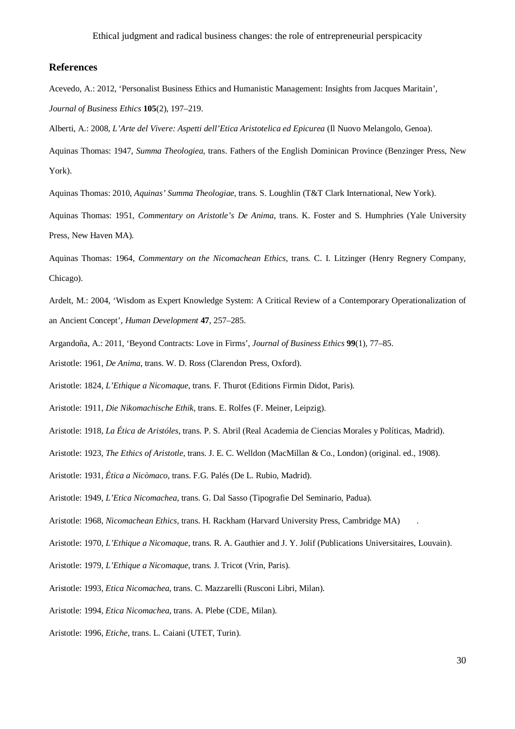## **References**

Acevedo, A.: 2012, 'Personalist Business Ethics and Humanistic Management: Insights from Jacques Maritain', *Journal of Business Ethics* **105**(2), 197–219.

Alberti, A.: 2008, *L'Arte del Vivere: Aspetti dell'Etica Aristotelica ed Epicurea* (Il Nuovo Melangolo, Genoa).

Aquinas Thomas: 1947, *Summa Theologiea*, trans. Fathers of the English Dominican Province (Benzinger Press, New York).

Aquinas Thomas: 2010, *Aquinas' Summa Theologiae*, trans. S. Loughlin (T&T Clark International, New York).

Aquinas Thomas: 1951, *Commentary on Aristotle's De Anima*, trans. K. Foster and S. Humphries (Yale University Press, New Haven MA).

Aquinas Thomas: 1964, *Commentary on the Nicomachean Ethics*, trans. C. I. Litzinger (Henry Regnery Company, Chicago).

Ardelt, M.: 2004, 'Wisdom as Expert Knowledge System: A Critical Review of a Contemporary Operationalization of an Ancient Concept', *Human Development* **47**, 257–285.

Argandoña, A.: 2011, 'Beyond Contracts: Love in Firms', *Journal of Business Ethics* **99**(1), 77–85.

Aristotle: 1961, *De Anima*, trans. W. D. Ross (Clarendon Press, Oxford).

Aristotle: 1824, *L'Ethique a Nicomaque*, trans. F. Thurot (Editions Firmin Didot, Paris).

Aristotle: 1911, *Die Nikomachische Ethik*, trans. E. Rolfes (F. Meiner, Leipzig).

Aristotle: 1918, *La Ética de Aristóles*, trans. P. S. Abril (Real Academia de Ciencias Morales y Políticas, Madrid).

Aristotle: 1923, *The Ethics of Aristotle*, trans. J. E. C. Welldon (MacMillan & Co., London) (original. ed., 1908).

Aristotle: 1931, *Ética a Nicòmaco*, trans. F.G. Palés (De L. Rubio, Madrid).

Aristotle: 1949, *L'Etica Nicomachea*, trans. G. Dal Sasso (Tipografie Del Seminario, Padua).

Aristotle: 1968, *Nicomachean Ethics*, trans. H. Rackham (Harvard University Press, Cambridge MA) .

Aristotle: 1970, *L'Ethique a Nicomaque*, trans. R. A. Gauthier and J. Y. Jolif (Publications Universitaires, Louvain).

Aristotle: 1979, *L'Ethique a Nicomaque*, trans. J. Tricot (Vrin, Paris).

Aristotle: 1993, *Etica Nicomachea*, trans. C. Mazzarelli (Rusconi Libri, Milan).

Aristotle: 1994, *Etica Nicomachea*, trans. A. Plebe (CDE, Milan).

Aristotle: 1996, *Etiche*, trans. L. Caiani (UTET, Turin).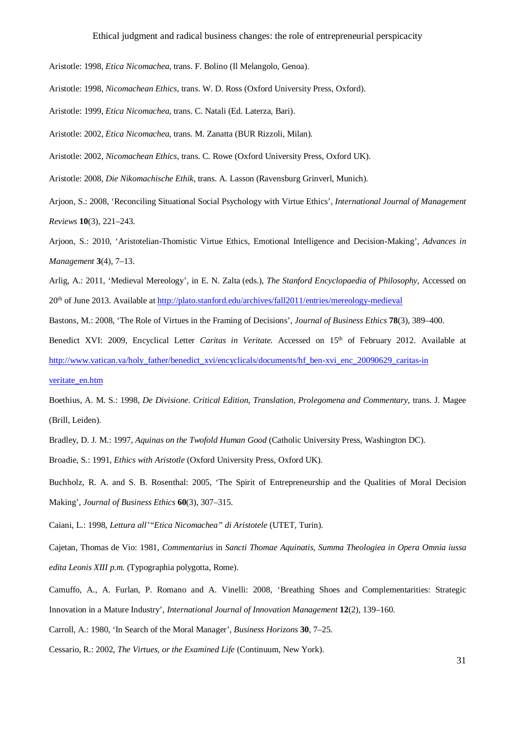Aristotle: 1998, *Etica Nicomachea*, trans. F. Bolino (Il Melangolo, Genoa).

Aristotle: 1998, *Nicomachean Ethics*, trans. W. D. Ross (Oxford University Press, Oxford).

Aristotle: 1999, *Etica Nicomachea*, trans. C. Natali (Ed. Laterza, Bari).

Aristotle: 2002, *Etica Nicomachea*, trans. M. Zanatta (BUR Rizzoli, Milan).

Aristotle: 2002, *Nicomachean Ethics*, trans. C. Rowe (Oxford University Press, Oxford UK).

Aristotle: 2008, *Die Nikomachische Ethik*, trans. A. Lasson (Ravensburg Grinverl, Munich).

Arjoon, S.: 2008, 'Reconciling Situational Social Psychology with Virtue Ethics', *International Journal of Management Reviews* **10**(3), 221–243.

Arjoon, S.: 2010, 'Aristotelian-Thomistic Virtue Ethics, Emotional Intelligence and Decision-Making', *Advances in Management* **3**(4), 7–13.

Arlig, A.: 2011, 'Medieval Mereology', in E. N. Zalta (eds.), *The Stanford Encyclopaedia of Philosophy*, Accessed on 20th of June 2013. Available at http://plato.stanford.edu/archives/fall2011/entries/mereology-medieval

Bastons, M.: 2008, 'The Role of Virtues in the Framing of Decisions', *Journal of Business Ethics* **78**(3), 389–400.

Benedict XVI: 2009, Encyclical Letter *Caritas in Veritate*. Accessed on 15<sup>th</sup> of February 2012. Available at http://www.vatican.va/holy\_father/benedict\_xvi/encyclicals/documents/hf\_ben-xvi\_enc\_20090629\_caritas-in

#### veritate\_en.htm

Boethius, A. M. S.: 1998, *De Divisione. Critical Edition, Translation, Prolegomena and Commentary*, trans. J. Magee (Brill, Leiden).

Bradley, D. J. M.: 1997, *Aquinas on the Twofold Human Good* (Catholic University Press, Washington DC).

Broadie, S.: 1991, *Ethics with Aristotle* (Oxford University Press, Oxford UK).

Buchholz, R. A. and S. B. Rosenthal: 2005, 'The Spirit of Entrepreneurship and the Qualities of Moral Decision Making', *Journal of Business Ethics* **60**(3), 307–315.

Caiani, L.: 1998, *Lettura all'"Etica Nicomachea" di Aristotele* (UTET, Turin).

Cajetan, Thomas de Vio: 1981, *Commentarius* in *Sancti Thomae Aquinatis, Summa Theologiea in Opera Omnia iussa edita Leonis XIII p.m.* (Typographia polygotta, Rome).

Camuffo, A., A. Furlan, P. Romano and A. Vinelli: 2008, 'Breathing Shoes and Complementarities: Strategic Innovation in a Mature Industry', *International Journal of Innovation Management* **12**(2), 139–160.

Carroll, A.: 1980, 'In Search of the Moral Manager', *Business Horizons* **30**, 7–25.

Cessario, R.: 2002, *The Virtues, or the Examined Life* (Continuum, New York).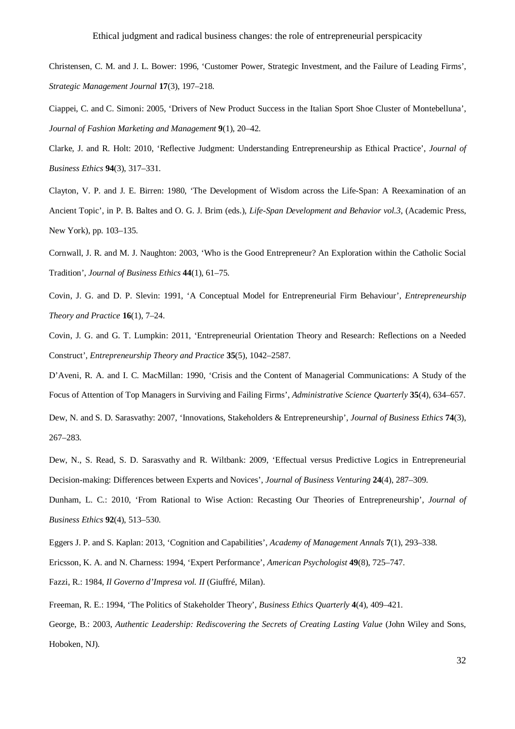- Christensen, C. M. and J. L. Bower: 1996, 'Customer Power, Strategic Investment, and the Failure of Leading Firms', *Strategic Management Journal* **17**(3), 197–218.
- Ciappei, C. and C. Simoni: 2005, 'Drivers of New Product Success in the Italian Sport Shoe Cluster of Montebelluna', *Journal of Fashion Marketing and Management* **9**(1), 20–42.
- Clarke, J. and R. Holt: 2010, 'Reflective Judgment: Understanding Entrepreneurship as Ethical Practice', *Journal of Business Ethics* **94**(3), 317–331.
- Clayton, V. P. and J. E. Birren: 1980, 'The Development of Wisdom across the Life-Span: A Reexamination of an Ancient Topic', in P. B. Baltes and O. G. J. Brim (eds.), *Life-Span Development and Behavior vol.3*, (Academic Press, New York), pp. 103–135.
- Cornwall, J. R. and M. J. Naughton: 2003, 'Who is the Good Entrepreneur? An Exploration within the Catholic Social Tradition', *Journal of Business Ethics* **44**(1), 61–75.
- Covin, J. G. and D. P. Slevin: 1991, 'A Conceptual Model for Entrepreneurial Firm Behaviour', *Entrepreneurship Theory and Practice* **16**(1), 7–24.
- Covin, J. G. and G. T. Lumpkin: 2011, 'Entrepreneurial Orientation Theory and Research: Reflections on a Needed Construct', *Entrepreneurship Theory and Practice* **35**(5), 1042–2587.
- D'Aveni, R. A. and I. C. MacMillan: 1990, 'Crisis and the Content of Managerial Communications: A Study of the Focus of Attention of Top Managers in Surviving and Failing Firms', *Administrative Science Quarterly* **35**(4), 634–657.
- Dew, N. and S. D. Sarasvathy: 2007, 'Innovations, Stakeholders & Entrepreneurship', *Journal of Business Ethics* **74**(3), 267–283.
- Dew, N., S. Read, S. D. Sarasvathy and R. Wiltbank: 2009, 'Effectual versus Predictive Logics in Entrepreneurial Decision-making: Differences between Experts and Novices', *Journal of Business Venturing* **24**(4), 287–309.
- Dunham, L. C.: 2010, 'From Rational to Wise Action: Recasting Our Theories of Entrepreneurship', *Journal of Business Ethics* **92**(4), 513–530.
- Eggers J. P. and S. Kaplan: 2013, 'Cognition and Capabilities', *Academy of Management Annals* **7**(1), 293–338.
- Ericsson, K. A. and N. Charness: 1994, 'Expert Performance', *American Psychologist* **49**(8), 725–747.
- Fazzi, R.: 1984, *Il Governo d'Impresa vol. II* (Giuffré, Milan).
- Freeman, R. E.: 1994, 'The Politics of Stakeholder Theory', *Business Ethics Quarterly* **4**(4), 409–421.
- George, B.: 2003, *Authentic Leadership: Rediscovering the Secrets of Creating Lasting Value* (John Wiley and Sons, Hoboken, NJ).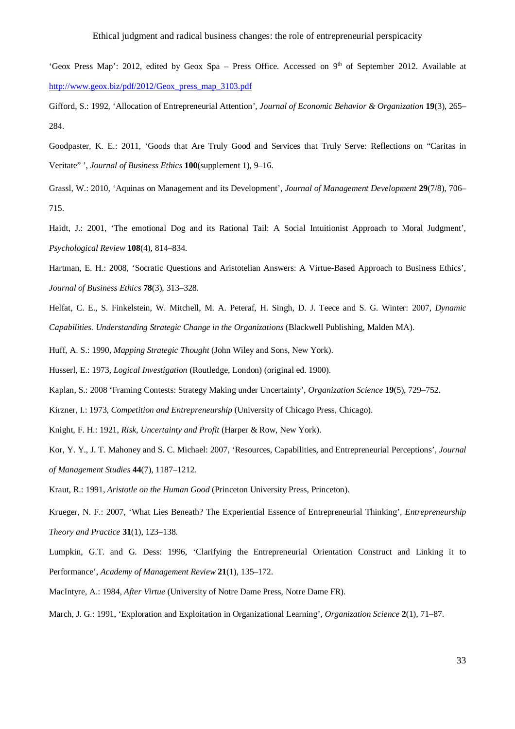- 'Geox Press Map': 2012, edited by Geox Spa Press Office. Accessed on  $9<sup>th</sup>$  of September 2012. Available at http://www.geox.biz/pdf/2012/Geox\_press\_map\_3103.pdf
- Gifford, S.: 1992, 'Allocation of Entrepreneurial Attention', *Journal of Economic Behavior & Organization* **19**(3), 265– 284.
- Goodpaster, K. E.: 2011, 'Goods that Are Truly Good and Services that Truly Serve: Reflections on "Caritas in Veritate" ', *Journal of Business Ethics* **100**(supplement 1), 9–16.
- Grassl, W.: 2010, 'Aquinas on Management and its Development', *Journal of Management Development* **29**(7/8), 706– 715.
- Haidt, J.: 2001, 'The emotional Dog and its Rational Tail: A Social Intuitionist Approach to Moral Judgment', *Psychological Review* **108**(4), 814–834.
- Hartman, E. H.: 2008, 'Socratic Questions and Aristotelian Answers: A Virtue-Based Approach to Business Ethics', *Journal of Business Ethics* **78**(3), 313–328.
- Helfat, C. E., S. Finkelstein, W. Mitchell, M. A. Peteraf, H. Singh, D. J. Teece and S. G. Winter: 2007, *Dynamic Capabilities. Understanding Strategic Change in the Organizations* (Blackwell Publishing, Malden MA).
- Huff, A. S.: 1990, *Mapping Strategic Thought* (John Wiley and Sons, New York).
- Husserl, E.: 1973, *Logical Investigation* (Routledge, London) (original ed. 1900).
- Kaplan, S.: 2008 'Framing Contests: Strategy Making under Uncertainty', *Organization Science* **19**(5), 729–752.
- Kirzner, I.: 1973, *Competition and Entrepreneurship* (University of Chicago Press, Chicago).
- Knight, F. H.: 1921, *Risk, Uncertainty and Profit* (Harper & Row, New York).
- Kor, Y. Y., J. T. Mahoney and S. C. Michael: 2007, 'Resources, Capabilities, and Entrepreneurial Perceptions', *Journal of Management Studies* **44**(7), 1187–1212*.*
- Kraut, R.: 1991, *Aristotle on the Human Good* (Princeton University Press, Princeton).
- Krueger, N. F.: 2007, 'What Lies Beneath? The Experiential Essence of Entrepreneurial Thinking', *Entrepreneurship Theory and Practice* **31**(1), 123–138.
- Lumpkin, G.T. and G. Dess: 1996, 'Clarifying the Entrepreneurial Orientation Construct and Linking it to Performance', *Academy of Management Review* **21**(1), 135–172.
- MacIntyre, A.: 1984, *After Virtue* (University of Notre Dame Press, Notre Dame FR).
- March, J. G.: 1991, 'Exploration and Exploitation in Organizational Learning', *Organization Science* **2**(1), 71–87.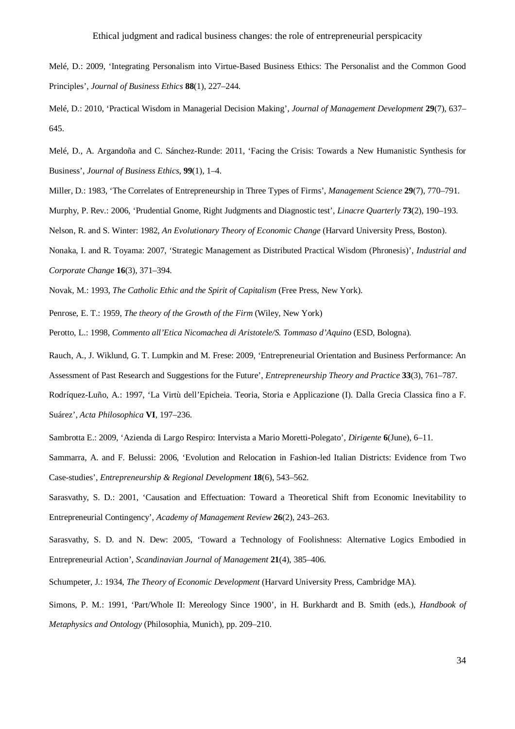Melé, D.: 2009, 'Integrating Personalism into Virtue-Based Business Ethics: The Personalist and the Common Good Principles', *Journal of Business Ethics* **88**(1), 227–244.

Melé, D.: 2010, 'Practical Wisdom in Managerial Decision Making', *Journal of Management Development* **29**(7), 637– 645.

Melé, D., A. Argandoña and C. Sánchez-Runde: 2011, 'Facing the Crisis: Towards a New Humanistic Synthesis for Business', *Journal of Business Ethics*, **99**(1), 1–4.

Miller, D.: 1983, 'The Correlates of Entrepreneurship in Three Types of Firms', *Management Science* **29**(7), 770–791.

Murphy, P. Rev.: 2006, 'Prudential Gnome, Right Judgments and Diagnostic test', *Linacre Quarterly* **73**(2), 190–193.

Nelson, R. and S. Winter: 1982, *An Evolutionary Theory of Economic Change* (Harvard University Press, Boston).

Nonaka, I. and R. Toyama: 2007, 'Strategic Management as Distributed Practical Wisdom (Phronesis)', *Industrial and Corporate Change* **16**(3), 371–394.

Novak, M.: 1993, *The Catholic Ethic and the Spirit of Capitalism* (Free Press, New York).

Penrose, E. T.: 1959, *The theory of the Growth of the Firm* (Wiley, New York)

Perotto, L.: 1998, *Commento all'Etica Nicomachea di Aristotele/S. Tommaso d'Aquino* (ESD, Bologna).

Rauch, A., J. Wiklund, G. T. Lumpkin and M. Frese: 2009, 'Entrepreneurial Orientation and Business Performance: An Assessment of Past Research and Suggestions for the Future', *Entrepreneurship Theory and Practice* **33**(3), 761–787.

Rodríquez-Luño, A.: 1997, 'La Virtù dell'Epicheia. Teoria, Storia e Applicazione (I). Dalla Grecia Classica fino a F. Suárez', *Acta Philosophica* **VI**, 197–236.

Sambrotta E.: 2009, 'Azienda di Largo Respiro: Intervista a Mario Moretti-Polegato', *Dirigente* **6**(June), 6–11.

Sammarra, A. and F. Belussi: 2006, 'Evolution and Relocation in Fashion-led Italian Districts: Evidence from Two Case-studies', *Entrepreneurship & Regional Development* **18**(6), 543–562.

Sarasvathy, S. D.: 2001, 'Causation and Effectuation: Toward a Theoretical Shift from Economic Inevitability to Entrepreneurial Contingency', *Academy of Management Review* **26**(2), 243–263.

Sarasvathy, S. D. and N. Dew: 2005, 'Toward a Technology of Foolishness: Alternative Logics Embodied in Entrepreneurial Action', *Scandinavian Journal of Management* **21**(4), 385–406.

Schumpeter, J.: 1934, *The Theory of Economic Development* (Harvard University Press, Cambridge MA).

Simons, P. M.: 1991, 'Part/Whole II: Mereology Since 1900', in H. Burkhardt and B. Smith (eds.), *Handbook of Metaphysics and Ontology* (Philosophia, Munich), pp. 209–210.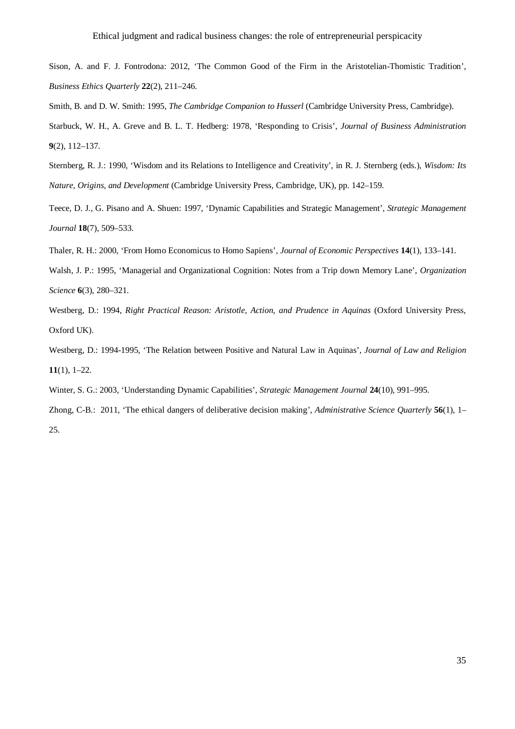Sison, A. and F. J. Fontrodona: 2012, 'The Common Good of the Firm in the Aristotelian-Thomistic Tradition', *Business Ethics Quarterly* **22**(2), 211–246.

Smith, B. and D. W. Smith: 1995, *The Cambridge Companion to Husserl* (Cambridge University Press, Cambridge).

Starbuck, W. H., A. Greve and B. L. T. Hedberg: 1978, 'Responding to Crisis', *Journal of Business Administration* **9**(2), 112–137.

Sternberg, R. J.: 1990, 'Wisdom and its Relations to Intelligence and Creativity', in R. J. Sternberg (eds.), *Wisdom: Its Nature, Origins, and Development* (Cambridge University Press, Cambridge, UK), pp. 142–159.

Teece, D. J., G. Pisano and A. Shuen: 1997, 'Dynamic Capabilities and Strategic Management', *Strategic Management Journal* **18**(7), 509–533.

Thaler, R. H.: 2000, 'From Homo Economicus to Homo Sapiens', *Journal of Economic Perspectives* **14**(1), 133–141.

Walsh, J. P.: 1995, 'Managerial and Organizational Cognition: Notes from a Trip down Memory Lane', *Organization Science* **6**(3), 280–321.

Westberg, D.: 1994, *Right Practical Reason: Aristotle, Action, and Prudence in Aquinas (Oxford University Press,* Oxford UK).

Westberg, D.: 1994-1995, 'The Relation between Positive and Natural Law in Aquinas', *Journal of Law and Religion* **11**(1), 1–22.

Winter, S. G.: 2003, 'Understanding Dynamic Capabilities', *Strategic Management Journal* **24**(10), 991–995.

Zhong, C-B.: 2011, 'The ethical dangers of deliberative decision making', *Administrative Science Quarterly* **56**(1), 1– 25.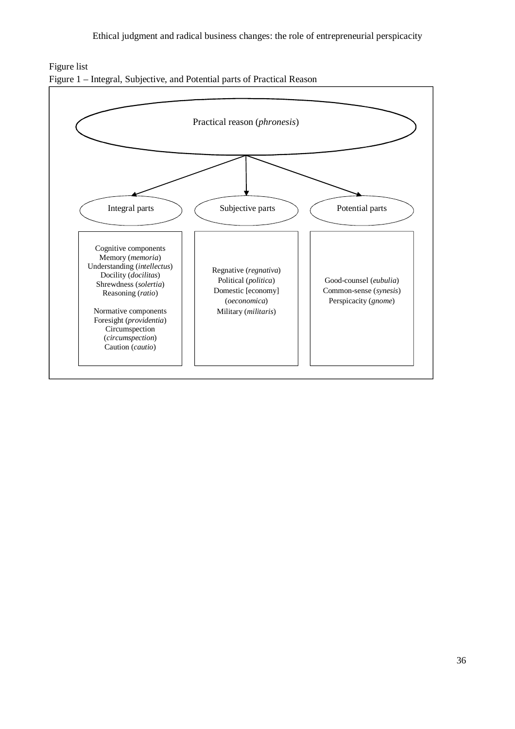



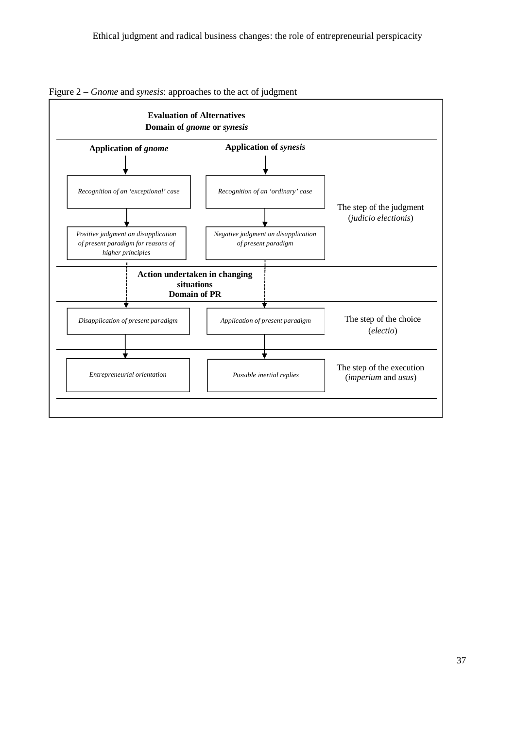

Figure 2 – *Gnome* and *synesis*: approaches to the act of judgment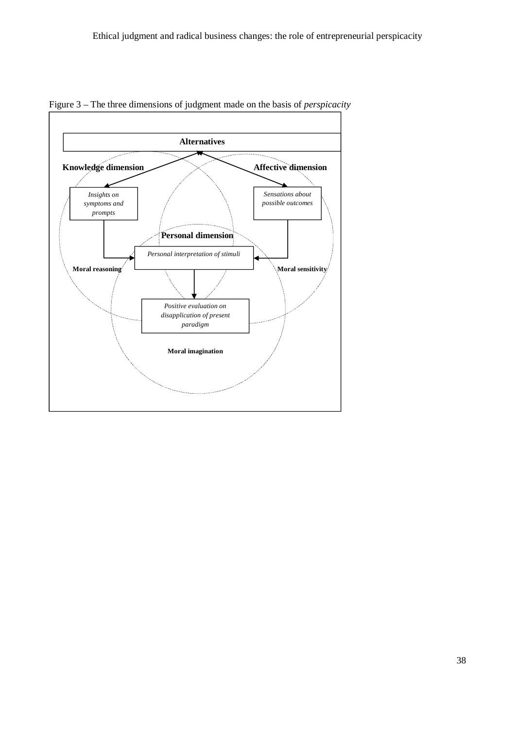

Figure 3 – The three dimensions of judgment made on the basis of *perspicacity*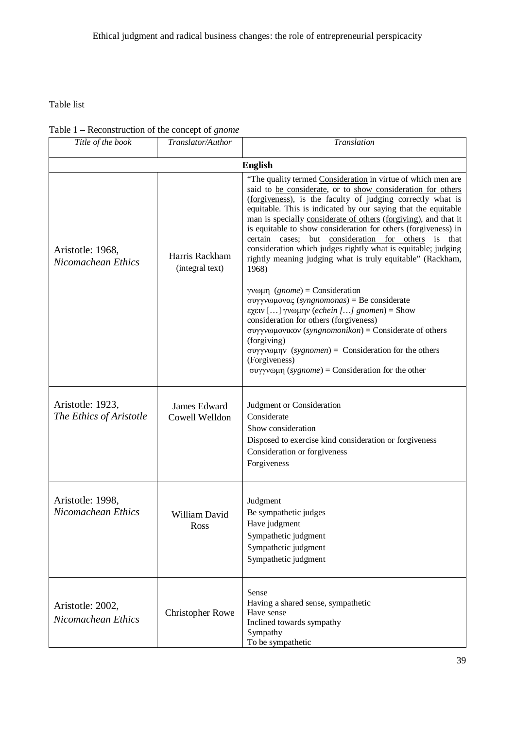Table list

## Table 1 – Reconstruction of the concept of *gnome*

| Title of the book                           | Translator/Author                 | Translation                                                                                                                                                                                                                                                                                                                                                                                                                                                                                                                                                                                    |  |  |  |
|---------------------------------------------|-----------------------------------|------------------------------------------------------------------------------------------------------------------------------------------------------------------------------------------------------------------------------------------------------------------------------------------------------------------------------------------------------------------------------------------------------------------------------------------------------------------------------------------------------------------------------------------------------------------------------------------------|--|--|--|
| <b>English</b>                              |                                   |                                                                                                                                                                                                                                                                                                                                                                                                                                                                                                                                                                                                |  |  |  |
| Aristotle: 1968,<br>Nicomachean Ethics      | Harris Rackham<br>(integral text) | "The quality termed Consideration in virtue of which men are<br>said to be considerate, or to show consideration for others<br>(forgiveness), is the faculty of judging correctly what is<br>equitable. This is indicated by our saying that the equitable<br>man is specially considerate of others (forgiving), and that it<br>is equitable to show consideration for others (forgiveness) in<br>certain cases; but consideration for others is that<br>consideration which judges rightly what is equitable; judging<br>rightly meaning judging what is truly equitable" (Rackham,<br>1968) |  |  |  |
|                                             |                                   | γνωμη $(gnome)$ = Consideration<br>συγγνωμονας (syngnomonas) = Be considerate<br>εχειν [] γνωμην (echein [] gnomen) = Show<br>consideration for others (forgiveness)<br>συγγνωμονικον (syngnomonikon) = Considerate of others<br>(forgiving)<br>συγγνωμην (sygnomen) = Consideration for the others<br>(Forgiveness)<br>συγγνωμη ( <i>sygnome</i> ) = Consideration for the other                                                                                                                                                                                                              |  |  |  |
| Aristotle: 1923,<br>The Ethics of Aristotle | James Edward<br>Cowell Welldon    | Judgment or Consideration<br>Considerate<br>Show consideration<br>Disposed to exercise kind consideration or forgiveness<br>Consideration or forgiveness<br>Forgiveness                                                                                                                                                                                                                                                                                                                                                                                                                        |  |  |  |
| Aristotle: 1998,<br>Nicomachean Ethics      | William David<br>Ross             | Judgment<br>Be sympathetic judges<br>Have judgment<br>Sympathetic judgment<br>Sympathetic judgment<br>Sympathetic judgment                                                                                                                                                                                                                                                                                                                                                                                                                                                                     |  |  |  |
| Aristotle: 2002,<br>Nicomachean Ethics      | <b>Christopher Rowe</b>           | Sense<br>Having a shared sense, sympathetic<br>Have sense<br>Inclined towards sympathy<br>Sympathy<br>To be sympathetic                                                                                                                                                                                                                                                                                                                                                                                                                                                                        |  |  |  |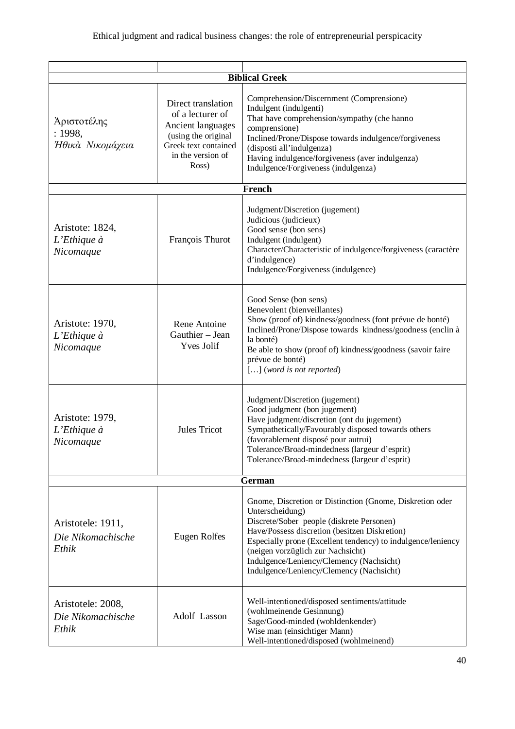| <b>Biblical Greek</b>                           |                                                                                                                                          |                                                                                                                                                                                                                                                                                                                                                                        |  |  |
|-------------------------------------------------|------------------------------------------------------------------------------------------------------------------------------------------|------------------------------------------------------------------------------------------------------------------------------------------------------------------------------------------------------------------------------------------------------------------------------------------------------------------------------------------------------------------------|--|--|
|                                                 |                                                                                                                                          | Comprehension/Discernment (Comprensione)                                                                                                                                                                                                                                                                                                                               |  |  |
| Άριστοτέλης<br>: 1998,<br>Ήθικά Νικομάχεια      | Direct translation<br>of a lecturer of<br>Ancient languages<br>(using the original<br>Greek text contained<br>in the version of<br>Ross) | Indulgent (indulgenti)<br>That have comprehension/sympathy (che hanno<br>comprensione)<br>Inclined/Prone/Dispose towards indulgence/forgiveness<br>(disposti all'indulgenza)<br>Having indulgence/forgiveness (aver indulgenza)<br>Indulgence/Forgiveness (indulgenza)                                                                                                 |  |  |
|                                                 |                                                                                                                                          | <b>French</b>                                                                                                                                                                                                                                                                                                                                                          |  |  |
| Aristote: 1824,<br>$L$ 'Ethique à<br>Nicomaque  | François Thurot                                                                                                                          | Judgment/Discretion (jugement)<br>Judicious (judicieux)<br>Good sense (bon sens)<br>Indulgent (indulgent)<br>Character/Characteristic of indulgence/forgiveness (caractère<br>d'indulgence)<br>Indulgence/Forgiveness (indulgence)                                                                                                                                     |  |  |
| Aristote: 1970,<br>$L$ 'Ethique à<br>Nicomaque  | Rene Antoine<br>Gauthier - Jean<br><b>Yves Jolif</b>                                                                                     | Good Sense (bon sens)<br>Benevolent (bienveillantes)<br>Show (proof of) kindness/goodness (font prévue de bonté)<br>Inclined/Prone/Dispose towards kindness/goodness (enclin à<br>la bonté)<br>Be able to show (proof of) kindness/goodness (savoir faire<br>prévue de bonté)<br>$[]$ (word is not reported)                                                           |  |  |
| Aristote: 1979,<br>$L$ 'Ethique à<br>Nicomaque  | <b>Jules Tricot</b>                                                                                                                      | Judgment/Discretion (jugement)<br>Good judgment (bon jugement)<br>Have judgment/discretion (ont du jugement)<br>Sympathetically/Favourably disposed towards others<br>(favorablement disposé pour autrui)<br>Tolerance/Broad-mindedness (largeur d'esprit)<br>Tolerance/Broad-mindedness (largeur d'esprit)                                                            |  |  |
| German                                          |                                                                                                                                          |                                                                                                                                                                                                                                                                                                                                                                        |  |  |
| Aristotele: 1911,<br>Die Nikomachische<br>Ethik | Eugen Rolfes                                                                                                                             | Gnome, Discretion or Distinction (Gnome, Diskretion oder<br>Unterscheidung)<br>Discrete/Sober people (diskrete Personen)<br>Have/Possess discretion (besitzen Diskretion)<br>Especially prone (Excellent tendency) to indulgence/leniency<br>(neigen vorzüglich zur Nachsicht)<br>Indulgence/Leniency/Clemency (Nachsicht)<br>Indulgence/Leniency/Clemency (Nachsicht) |  |  |
| Aristotele: 2008,<br>Die Nikomachische<br>Ethik | Adolf Lasson                                                                                                                             | Well-intentioned/disposed sentiments/attitude<br>(wohlmeinende Gesinnung)<br>Sage/Good-minded (wohldenkender)<br>Wise man (einsichtiger Mann)<br>Well-intentioned/disposed (wohlmeinend)                                                                                                                                                                               |  |  |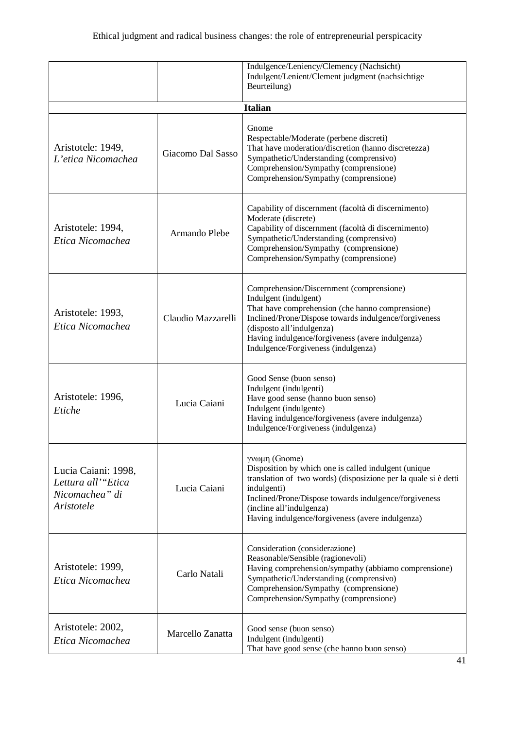|                                                                           |                    | Indulgence/Leniency/Clemency (Nachsicht)<br>Indulgent/Lenient/Clement judgment (nachsichtige<br>Beurteilung)                                                                                                                                                                                           |
|---------------------------------------------------------------------------|--------------------|--------------------------------------------------------------------------------------------------------------------------------------------------------------------------------------------------------------------------------------------------------------------------------------------------------|
|                                                                           |                    | <b>Italian</b>                                                                                                                                                                                                                                                                                         |
| Aristotele: 1949,<br>L'etica Nicomachea                                   | Giacomo Dal Sasso  | Gnome<br>Respectable/Moderate (perbene discreti)<br>That have moderation/discretion (hanno discretezza)<br>Sympathetic/Understanding (comprensivo)<br>Comprehension/Sympathy (comprensione)<br>Comprehension/Sympathy (comprensione)                                                                   |
| Aristotele: 1994,<br>Etica Nicomachea                                     | Armando Plebe      | Capability of discernment (facoltà di discernimento)<br>Moderate (discrete)<br>Capability of discernment (facoltà di discernimento)<br>Sympathetic/Understanding (comprensivo)<br>Comprehension/Sympathy (comprensione)<br>Comprehension/Sympathy (comprensione)                                       |
| Aristotele: 1993,<br>Etica Nicomachea                                     | Claudio Mazzarelli | Comprehension/Discernment (comprensione)<br>Indulgent (indulgent)<br>That have comprehension (che hanno comprensione)<br>Inclined/Prone/Dispose towards indulgence/forgiveness<br>(disposto all'indulgenza)<br>Having indulgence/forgiveness (avere indulgenza)<br>Indulgence/Forgiveness (indulgenza) |
| Aristotele: 1996,<br>Etiche                                               | Lucia Caiani       | Good Sense (buon senso)<br>Indulgent (indulgenti)<br>Have good sense (hanno buon senso)<br>Indulgent (indulgente)<br>Having indulgence/forgiveness (avere indulgenza)<br>Indulgence/Forgiveness (indulgenza)                                                                                           |
| Lucia Caiani: 1998,<br>Lettura all'"Etica<br>Nicomachea" di<br>Aristotele | Lucia Caiani       | γνωμη (Gnome)<br>Disposition by which one is called indulgent (unique<br>translation of two words) (disposizione per la quale si è detti<br>indulgenti)<br>Inclined/Prone/Dispose towards indulgence/forgiveness<br>(incline all'indulgenza)<br>Having indulgence/forgiveness (avere indulgenza)       |
| Aristotele: 1999,<br>Etica Nicomachea                                     | Carlo Natali       | Consideration (considerazione)<br>Reasonable/Sensible (ragionevoli)<br>Having comprehension/sympathy (abbiamo comprensione)<br>Sympathetic/Understanding (comprensivo)<br>Comprehension/Sympathy (comprensione)<br>Comprehension/Sympathy (comprensione)                                               |
| Aristotele: 2002,<br>Etica Nicomachea                                     | Marcello Zanatta   | Good sense (buon senso)<br>Indulgent (indulgenti)<br>That have good sense (che hanno buon senso)                                                                                                                                                                                                       |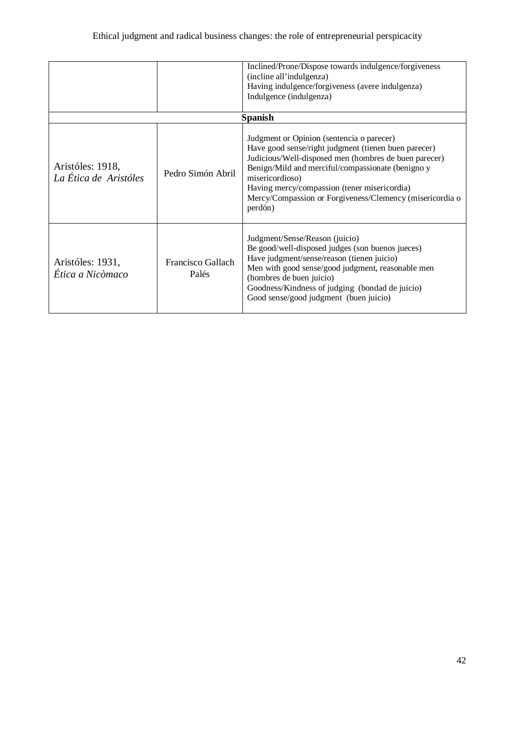|                                           |                            | Inclined/Prone/Dispose towards indulgence/forgiveness<br>(incline all'indulgenza)<br>Having indulgence/forgiveness (avere indulgenza)<br>Indulgence (indulgenza)                                                                                                                                                                                                            |
|-------------------------------------------|----------------------------|-----------------------------------------------------------------------------------------------------------------------------------------------------------------------------------------------------------------------------------------------------------------------------------------------------------------------------------------------------------------------------|
| Aristóles: 1918,<br>La Ética de Aristóles | Pedro Simón Abril          | <b>Spanish</b><br>Judgment or Opinion (sentencia o parecer)<br>Have good sense/right judgment (tienen buen parecer)<br>Judicious/Well-disposed men (hombres de buen parecer)<br>Benign/Mild and merciful/compassionate (benigno y<br>misericordioso)<br>Having mercy/compassion (tener misericordia)<br>Mercy/Compassion or Forgiveness/Clemency (misericordia o<br>perdón) |
| Aristóles: 1931,<br>Ética a Nicòmaco      | Francisco Gallach<br>Palés | Judgment/Sense/Reason (juicio)<br>Be good/well-disposed judges (son buenos jueces)<br>Have judgment/sense/reason (tienen juicio)<br>Men with good sense/good judgment, reasonable men<br>(hombres de buen juicio)<br>Goodness/Kindness of judging (bondad de juicio)<br>Good sense/good judgment (buen juicio)                                                              |